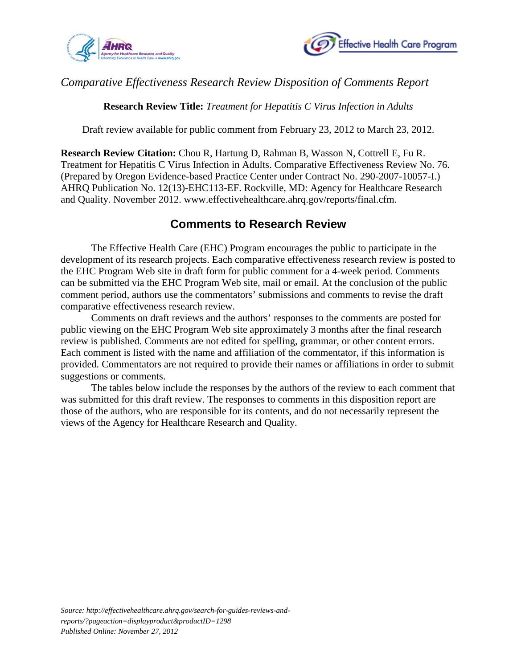



## *Comparative Effectiveness Research Review Disposition of Comments Report*

**Research Review Title:** *Treatment for Hepatitis C Virus Infection in Adults*

Draft review available for public comment from February 23, 2012 to March 23, 2012.

**Research Review Citation:** Chou R, Hartung D, Rahman B, Wasson N, Cottrell E, Fu R. Treatment for Hepatitis C Virus Infection in Adults. Comparative Effectiveness Review No. 76. (Prepared by Oregon Evidence-based Practice Center under Contract No. 290-2007-10057-I.) AHRQ Publication No. 12(13)-EHC113-EF. Rockville, MD: Agency for Healthcare Research and Quality. November 2012. www.effectivehealthcare.ahrq.gov/reports/final.cfm.

## **Comments to Research Review**

The Effective Health Care (EHC) Program encourages the public to participate in the development of its research projects. Each comparative effectiveness research review is posted to the EHC Program Web site in draft form for public comment for a 4-week period. Comments can be submitted via the EHC Program Web site, mail or email. At the conclusion of the public comment period, authors use the commentators' submissions and comments to revise the draft comparative effectiveness research review.

Comments on draft reviews and the authors' responses to the comments are posted for public viewing on the EHC Program Web site approximately 3 months after the final research review is published. Comments are not edited for spelling, grammar, or other content errors. Each comment is listed with the name and affiliation of the commentator, if this information is provided*.* Commentators are not required to provide their names or affiliations in order to submit suggestions or comments.

The tables below include the responses by the authors of the review to each comment that was submitted for this draft review. The responses to comments in this disposition report are those of the authors, who are responsible for its contents, and do not necessarily represent the views of the Agency for Healthcare Research and Quality.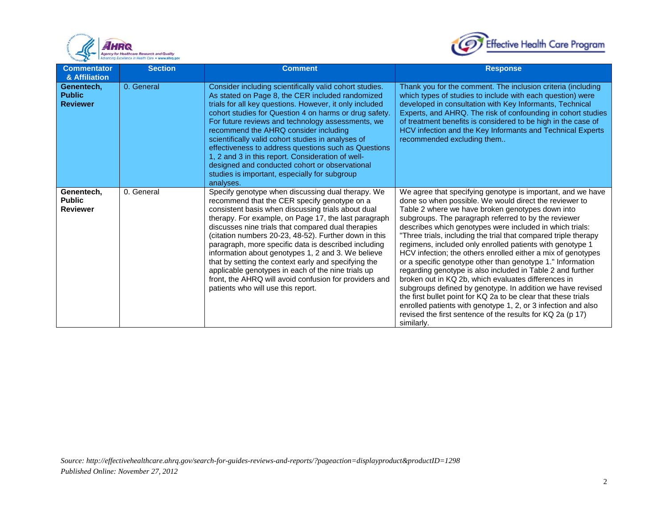



| <b>Commentator</b><br>& Affiliation            | <b>Section</b> | <b>Comment</b>                                                                                                                                                                                                                                                                                                                                                                                                                                                                                                                                                                                                                                             | <b>Response</b>                                                                                                                                                                                                                                                                                                                                                                                                                                                                                                                                                                                                                                                                                                                                                                                                                                                                                                                                               |
|------------------------------------------------|----------------|------------------------------------------------------------------------------------------------------------------------------------------------------------------------------------------------------------------------------------------------------------------------------------------------------------------------------------------------------------------------------------------------------------------------------------------------------------------------------------------------------------------------------------------------------------------------------------------------------------------------------------------------------------|---------------------------------------------------------------------------------------------------------------------------------------------------------------------------------------------------------------------------------------------------------------------------------------------------------------------------------------------------------------------------------------------------------------------------------------------------------------------------------------------------------------------------------------------------------------------------------------------------------------------------------------------------------------------------------------------------------------------------------------------------------------------------------------------------------------------------------------------------------------------------------------------------------------------------------------------------------------|
| Genentech,<br><b>Public</b><br><b>Reviewer</b> | 0. General     | Consider including scientifically valid cohort studies.<br>As stated on Page 8, the CER included randomized<br>trials for all key questions. However, it only included<br>cohort studies for Question 4 on harms or drug safety.<br>For future reviews and technology assessments, we<br>recommend the AHRQ consider including<br>scientifically valid cohort studies in analyses of<br>effectiveness to address questions such as Questions<br>1, 2 and 3 in this report. Consideration of well-<br>designed and conducted cohort or observational<br>studies is important, especially for subgroup<br>analyses.                                          | Thank you for the comment. The inclusion criteria (including<br>which types of studies to include with each question) were<br>developed in consultation with Key Informants, Technical<br>Experts, and AHRQ. The risk of confounding in cohort studies<br>of treatment benefits is considered to be high in the case of<br>HCV infection and the Key Informants and Technical Experts<br>recommended excluding them                                                                                                                                                                                                                                                                                                                                                                                                                                                                                                                                           |
| Genentech,<br><b>Public</b><br><b>Reviewer</b> | 0. General     | Specify genotype when discussing dual therapy. We<br>recommend that the CER specify genotype on a<br>consistent basis when discussing trials about dual<br>therapy. For example, on Page 17, the last paragraph<br>discusses nine trials that compared dual therapies<br>(citation numbers 20-23, 48-52). Further down in this<br>paragraph, more specific data is described including<br>information about genotypes 1, 2 and 3. We believe<br>that by setting the context early and specifying the<br>applicable genotypes in each of the nine trials up<br>front, the AHRQ will avoid confusion for providers and<br>patients who will use this report. | We agree that specifying genotype is important, and we have<br>done so when possible. We would direct the reviewer to<br>Table 2 where we have broken genotypes down into<br>subgroups. The paragraph referred to by the reviewer<br>describes which genotypes were included in which trials:<br>"Three trials, including the trial that compared triple therapy<br>regimens, included only enrolled patients with genotype 1<br>HCV infection; the others enrolled either a mix of genotypes<br>or a specific genotype other than genotype 1." Information<br>regarding genotype is also included in Table 2 and further<br>broken out in KQ 2b, which evaluates differences in<br>subgroups defined by genotype. In addition we have revised<br>the first bullet point for KQ 2a to be clear that these trials<br>enrolled patients with genotype 1, 2, or 3 infection and also<br>revised the first sentence of the results for KQ 2a (p 17)<br>similarly. |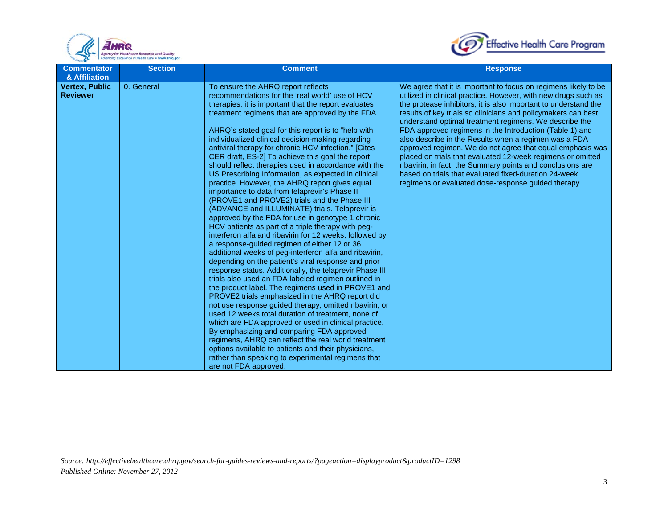



| <b>Commentator</b>                                        | <b>Section</b> | <b>Comment</b>                                                                                                                                                                                                                                                                                                                                                                                                                                                                                                                                                                                                                                                                                                                                                                                                                                                                                                                                                                                                                                                                                                                                                                                                                                                                                                                                                                                                                                                                                                                      | <b>Response</b>                                                                                                                                                                                                                                                                                                                                                                                                                                                                                                                                                                                                                                                                                                                                               |
|-----------------------------------------------------------|----------------|-------------------------------------------------------------------------------------------------------------------------------------------------------------------------------------------------------------------------------------------------------------------------------------------------------------------------------------------------------------------------------------------------------------------------------------------------------------------------------------------------------------------------------------------------------------------------------------------------------------------------------------------------------------------------------------------------------------------------------------------------------------------------------------------------------------------------------------------------------------------------------------------------------------------------------------------------------------------------------------------------------------------------------------------------------------------------------------------------------------------------------------------------------------------------------------------------------------------------------------------------------------------------------------------------------------------------------------------------------------------------------------------------------------------------------------------------------------------------------------------------------------------------------------|---------------------------------------------------------------------------------------------------------------------------------------------------------------------------------------------------------------------------------------------------------------------------------------------------------------------------------------------------------------------------------------------------------------------------------------------------------------------------------------------------------------------------------------------------------------------------------------------------------------------------------------------------------------------------------------------------------------------------------------------------------------|
| & Affiliation<br><b>Vertex, Public</b><br><b>Reviewer</b> | 0. General     | To ensure the AHRQ report reflects<br>recommendations for the 'real world' use of HCV<br>therapies, it is important that the report evaluates<br>treatment regimens that are approved by the FDA<br>AHRQ's stated goal for this report is to "help with<br>individualized clinical decision-making regarding<br>antiviral therapy for chronic HCV infection." [Cites<br>CER draft, ES-2] To achieve this goal the report<br>should reflect therapies used in accordance with the<br>US Prescribing Information, as expected in clinical<br>practice. However, the AHRQ report gives equal<br>importance to data from telaprevir's Phase II<br>(PROVE1 and PROVE2) trials and the Phase III<br>(ADVANCE and ILLUMINATE) trials. Telaprevir is<br>approved by the FDA for use in genotype 1 chronic<br>HCV patients as part of a triple therapy with peg-<br>interferon alfa and ribavirin for 12 weeks, followed by<br>a response-guided regimen of either 12 or 36<br>additional weeks of peg-interferon alfa and ribavirin,<br>depending on the patient's viral response and prior<br>response status. Additionally, the telaprevir Phase III<br>trials also used an FDA labeled regimen outlined in<br>the product label. The regimens used in PROVE1 and<br>PROVE2 trials emphasized in the AHRQ report did<br>not use response guided therapy, omitted ribavirin, or<br>used 12 weeks total duration of treatment, none of<br>which are FDA approved or used in clinical practice.<br>By emphasizing and comparing FDA approved | We agree that it is important to focus on regimens likely to be<br>utilized in clinical practice. However, with new drugs such as<br>the protease inhibitors, it is also important to understand the<br>results of key trials so clinicians and policymakers can best<br>understand optimal treatment regimens. We describe the<br>FDA approved regimens in the Introduction (Table 1) and<br>also describe in the Results when a regimen was a FDA<br>approved regimen. We do not agree that equal emphasis was<br>placed on trials that evaluated 12-week regimens or omitted<br>ribavirin; in fact, the Summary points and conclusions are<br>based on trials that evaluated fixed-duration 24-week<br>regimens or evaluated dose-response guided therapy. |
|                                                           |                | regimens, AHRQ can reflect the real world treatment<br>options available to patients and their physicians,<br>rather than speaking to experimental regimens that<br>are not FDA approved.                                                                                                                                                                                                                                                                                                                                                                                                                                                                                                                                                                                                                                                                                                                                                                                                                                                                                                                                                                                                                                                                                                                                                                                                                                                                                                                                           |                                                                                                                                                                                                                                                                                                                                                                                                                                                                                                                                                                                                                                                                                                                                                               |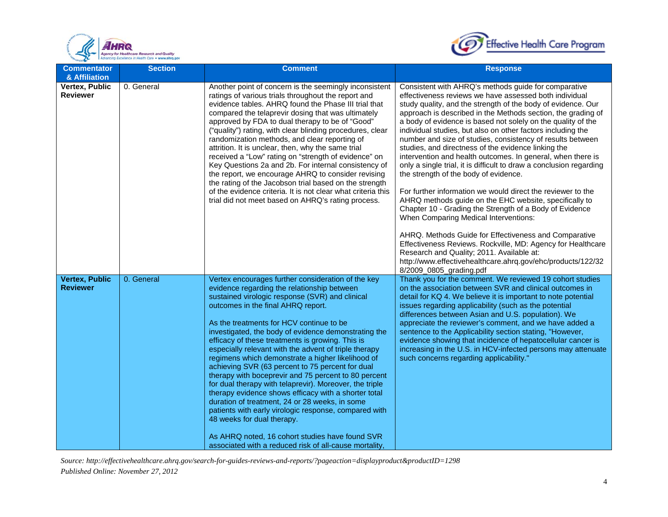



| <b>Commentator</b><br>& Affiliation      | <b>Section</b> | <b>Comment</b>                                                                                                                                                                                                                                                                                                                                                                                                                                                                                                                                                                                                                                                                                                                                                                                                                                                                                                                                        | <b>Response</b>                                                                                                                                                                                                                                                                                                                                                                                                                                                                                                                                                                                                                                                                                                                                                                                                                                                                                                                                                                                                                                                                                                                                                               |
|------------------------------------------|----------------|-------------------------------------------------------------------------------------------------------------------------------------------------------------------------------------------------------------------------------------------------------------------------------------------------------------------------------------------------------------------------------------------------------------------------------------------------------------------------------------------------------------------------------------------------------------------------------------------------------------------------------------------------------------------------------------------------------------------------------------------------------------------------------------------------------------------------------------------------------------------------------------------------------------------------------------------------------|-------------------------------------------------------------------------------------------------------------------------------------------------------------------------------------------------------------------------------------------------------------------------------------------------------------------------------------------------------------------------------------------------------------------------------------------------------------------------------------------------------------------------------------------------------------------------------------------------------------------------------------------------------------------------------------------------------------------------------------------------------------------------------------------------------------------------------------------------------------------------------------------------------------------------------------------------------------------------------------------------------------------------------------------------------------------------------------------------------------------------------------------------------------------------------|
| Vertex, Public<br><b>Reviewer</b>        | 0. General     | Another point of concern is the seemingly inconsistent<br>ratings of various trials throughout the report and<br>evidence tables. AHRQ found the Phase III trial that<br>compared the telaprevir dosing that was ultimately<br>approved by FDA to dual therapy to be of "Good"<br>("quality") rating, with clear blinding procedures, clear<br>randomization methods, and clear reporting of<br>attrition. It is unclear, then, why the same trial<br>received a "Low" rating on "strength of evidence" on<br>Key Questions 2a and 2b. For internal consistency of<br>the report, we encourage AHRQ to consider revising<br>the rating of the Jacobson trial based on the strength<br>of the evidence criteria. It is not clear what criteria this<br>trial did not meet based on AHRQ's rating process.                                                                                                                                              | Consistent with AHRQ's methods guide for comparative<br>effectiveness reviews we have assessed both individual<br>study quality, and the strength of the body of evidence. Our<br>approach is described in the Methods section, the grading of<br>a body of evidence is based not solely on the quality of the<br>individual studies, but also on other factors including the<br>number and size of studies, consistency of results between<br>studies, and directness of the evidence linking the<br>intervention and health outcomes. In general, when there is<br>only a single trial, it is difficult to draw a conclusion regarding<br>the strength of the body of evidence.<br>For further information we would direct the reviewer to the<br>AHRQ methods guide on the EHC website, specifically to<br>Chapter 10 - Grading the Strength of a Body of Evidence<br>When Comparing Medical Interventions:<br>AHRQ. Methods Guide for Effectiveness and Comparative<br>Effectiveness Reviews. Rockville, MD: Agency for Healthcare<br>Research and Quality; 2011. Available at:<br>http://www.effectivehealthcare.ahrq.gov/ehc/products/122/32<br>8/2009_0805_grading.pdf |
| <b>Vertex, Public</b><br><b>Reviewer</b> | 0. General     | Vertex encourages further consideration of the key<br>evidence regarding the relationship between<br>sustained virologic response (SVR) and clinical<br>outcomes in the final AHRQ report.<br>As the treatments for HCV continue to be<br>investigated, the body of evidence demonstrating the<br>efficacy of these treatments is growing. This is<br>especially relevant with the advent of triple therapy<br>regimens which demonstrate a higher likelihood of<br>achieving SVR (63 percent to 75 percent for dual<br>therapy with boceprevir and 75 percent to 80 percent<br>for dual therapy with telaprevir). Moreover, the triple<br>therapy evidence shows efficacy with a shorter total<br>duration of treatment, 24 or 28 weeks, in some<br>patients with early virologic response, compared with<br>48 weeks for dual therapy.<br>As AHRQ noted, 16 cohort studies have found SVR<br>associated with a reduced risk of all-cause mortality. | Thank you for the comment. We reviewed 19 cohort studies<br>on the association between SVR and clinical outcomes in<br>detail for KQ 4. We believe it is important to note potential<br>issues regarding applicability (such as the potential<br>differences between Asian and U.S. population). We<br>appreciate the reviewer's comment, and we have added a<br>sentence to the Applicability section stating, "However,<br>evidence showing that incidence of hepatocellular cancer is<br>increasing in the U.S. in HCV-infected persons may attenuate<br>such concerns regarding applicability."                                                                                                                                                                                                                                                                                                                                                                                                                                                                                                                                                                           |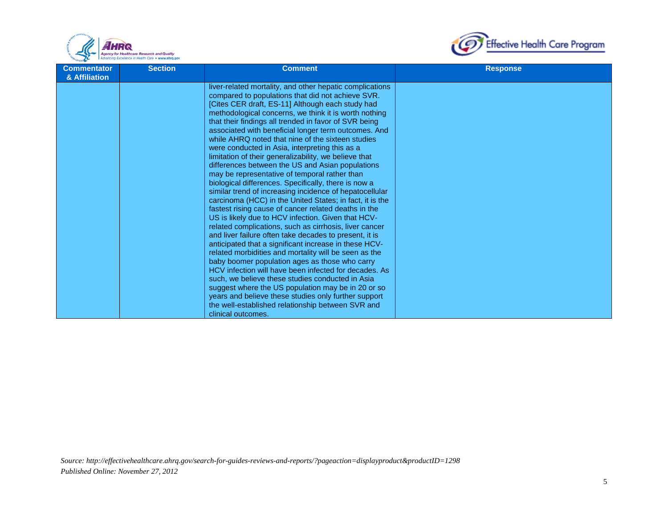



| <b>Commentator</b><br>& Affiliation | <b>Section</b> | <b>Comment</b>                                                                                                                                                                                                                                                                                                                                                                                                                                                                                                                                                                                                                                                                                                                                                                                                                                                                                                                                                                                                                                                                                                                                                                                                                                                                                                                                                                                                                   | <b>Response</b> |
|-------------------------------------|----------------|----------------------------------------------------------------------------------------------------------------------------------------------------------------------------------------------------------------------------------------------------------------------------------------------------------------------------------------------------------------------------------------------------------------------------------------------------------------------------------------------------------------------------------------------------------------------------------------------------------------------------------------------------------------------------------------------------------------------------------------------------------------------------------------------------------------------------------------------------------------------------------------------------------------------------------------------------------------------------------------------------------------------------------------------------------------------------------------------------------------------------------------------------------------------------------------------------------------------------------------------------------------------------------------------------------------------------------------------------------------------------------------------------------------------------------|-----------------|
|                                     |                | liver-related mortality, and other hepatic complications<br>compared to populations that did not achieve SVR.<br>[Cites CER draft, ES-11] Although each study had<br>methodological concerns, we think it is worth nothing<br>that their findings all trended in favor of SVR being<br>associated with beneficial longer term outcomes. And<br>while AHRQ noted that nine of the sixteen studies<br>were conducted in Asia, interpreting this as a<br>limitation of their generalizability, we believe that<br>differences between the US and Asian populations<br>may be representative of temporal rather than<br>biological differences. Specifically, there is now a<br>similar trend of increasing incidence of hepatocellular<br>carcinoma (HCC) in the United States; in fact, it is the<br>fastest rising cause of cancer related deaths in the<br>US is likely due to HCV infection. Given that HCV-<br>related complications, such as cirrhosis, liver cancer<br>and liver failure often take decades to present, it is<br>anticipated that a significant increase in these HCV-<br>related morbidities and mortality will be seen as the<br>baby boomer population ages as those who carry<br>HCV infection will have been infected for decades. As<br>such, we believe these studies conducted in Asia<br>suggest where the US population may be in 20 or so<br>years and believe these studies only further support |                 |
|                                     |                | the well-established relationship between SVR and<br>clinical outcomes.                                                                                                                                                                                                                                                                                                                                                                                                                                                                                                                                                                                                                                                                                                                                                                                                                                                                                                                                                                                                                                                                                                                                                                                                                                                                                                                                                          |                 |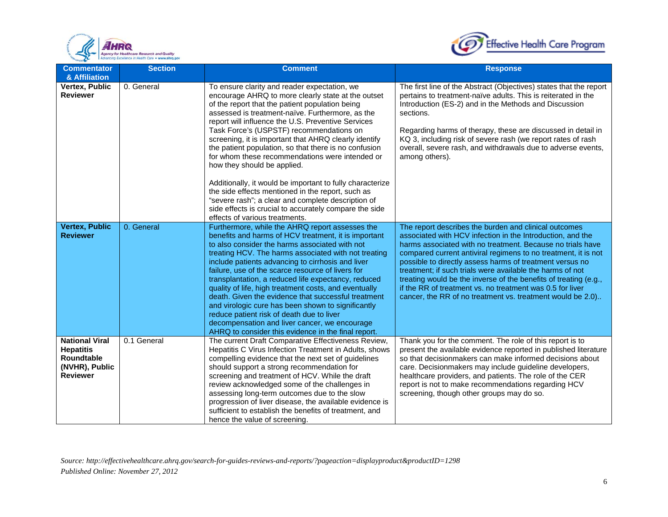



| <b>Commentator</b><br>& Affiliation                                                                 | <b>Section</b> | <b>Comment</b>                                                                                                                                                                                                                                                                                                                                                                                                                                                                                                                                                                                                                                                                                                | <b>Response</b>                                                                                                                                                                                                                                                                                                                                                                                                                                                                                                                                                             |
|-----------------------------------------------------------------------------------------------------|----------------|---------------------------------------------------------------------------------------------------------------------------------------------------------------------------------------------------------------------------------------------------------------------------------------------------------------------------------------------------------------------------------------------------------------------------------------------------------------------------------------------------------------------------------------------------------------------------------------------------------------------------------------------------------------------------------------------------------------|-----------------------------------------------------------------------------------------------------------------------------------------------------------------------------------------------------------------------------------------------------------------------------------------------------------------------------------------------------------------------------------------------------------------------------------------------------------------------------------------------------------------------------------------------------------------------------|
| Vertex, Public<br><b>Reviewer</b>                                                                   | 0. General     | To ensure clarity and reader expectation, we<br>encourage AHRQ to more clearly state at the outset<br>of the report that the patient population being<br>assessed is treatment-naïve. Furthermore, as the<br>report will influence the U.S. Preventive Services<br>Task Force's (USPSTF) recommendations on<br>screening, it is important that AHRQ clearly identify<br>the patient population, so that there is no confusion<br>for whom these recommendations were intended or<br>how they should be applied.<br>Additionally, it would be important to fully characterize                                                                                                                                  | The first line of the Abstract (Objectives) states that the report<br>pertains to treatment-naïve adults. This is reiterated in the<br>Introduction (ES-2) and in the Methods and Discussion<br>sections.<br>Regarding harms of therapy, these are discussed in detail in<br>KQ 3, including risk of severe rash (we report rates of rash<br>overall, severe rash, and withdrawals due to adverse events,<br>among others).                                                                                                                                                 |
|                                                                                                     |                | the side effects mentioned in the report, such as<br>"severe rash"; a clear and complete description of<br>side effects is crucial to accurately compare the side<br>effects of various treatments.                                                                                                                                                                                                                                                                                                                                                                                                                                                                                                           |                                                                                                                                                                                                                                                                                                                                                                                                                                                                                                                                                                             |
| <b>Vertex, Public</b><br><b>Reviewer</b>                                                            | 0. General     | Furthermore, while the AHRQ report assesses the<br>benefits and harms of HCV treatment, it is important<br>to also consider the harms associated with not<br>treating HCV. The harms associated with not treating<br>include patients advancing to cirrhosis and liver<br>failure, use of the scarce resource of livers for<br>transplantation, a reduced life expectancy, reduced<br>quality of life, high treatment costs, and eventually<br>death. Given the evidence that successful treatment<br>and virologic cure has been shown to significantly<br>reduce patient risk of death due to liver<br>decompensation and liver cancer, we encourage<br>AHRQ to consider this evidence in the final report. | The report describes the burden and clinical outcomes<br>associated with HCV infection in the Introduction, and the<br>harms associated with no treatment. Because no trials have<br>compared current antiviral regimens to no treatment, it is not<br>possible to directly assess harms of treatment versus no<br>treatment; if such trials were available the harms of not<br>treating would be the inverse of the benefits of treating (e.g.,<br>if the RR of treatment vs. no treatment was 0.5 for liver<br>cancer, the RR of no treatment vs. treatment would be 2.0) |
| <b>National Viral</b><br><b>Hepatitis</b><br><b>Roundtable</b><br>(NVHR), Public<br><b>Reviewer</b> | 0.1 General    | The current Draft Comparative Effectiveness Review,<br>Hepatitis C Virus Infection Treatment in Adults, shows<br>compelling evidence that the next set of guidelines<br>should support a strong recommendation for<br>screening and treatment of HCV. While the draft<br>review acknowledged some of the challenges in<br>assessing long-term outcomes due to the slow<br>progression of liver disease, the available evidence is<br>sufficient to establish the benefits of treatment, and<br>hence the value of screening.                                                                                                                                                                                  | Thank you for the comment. The role of this report is to<br>present the available evidence reported in published literature<br>so that decisionmakers can make informed decisions about<br>care. Decisionmakers may include guideline developers,<br>healthcare providers, and patients. The role of the CER<br>report is not to make recommendations regarding HCV<br>screening, though other groups may do so.                                                                                                                                                            |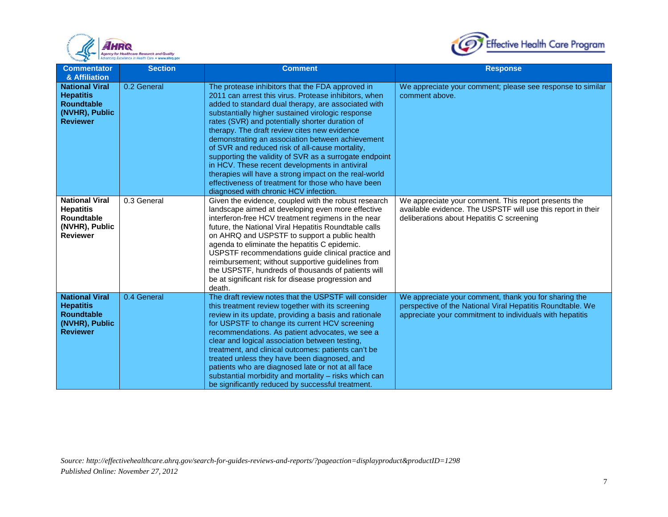



| <b>Commentator</b><br>& Affiliation                                                                 | <b>Section</b> | <b>Comment</b>                                                                                                                                                                                                                                                                                                                                                                                                                                                                                                                                                                                                                                                                                      | <b>Response</b>                                                                                                                                                                 |
|-----------------------------------------------------------------------------------------------------|----------------|-----------------------------------------------------------------------------------------------------------------------------------------------------------------------------------------------------------------------------------------------------------------------------------------------------------------------------------------------------------------------------------------------------------------------------------------------------------------------------------------------------------------------------------------------------------------------------------------------------------------------------------------------------------------------------------------------------|---------------------------------------------------------------------------------------------------------------------------------------------------------------------------------|
| <b>National Viral</b><br><b>Hepatitis</b><br><b>Roundtable</b><br>(NVHR), Public<br><b>Reviewer</b> | 0.2 General    | The protease inhibitors that the FDA approved in<br>2011 can arrest this virus. Protease inhibitors, when<br>added to standard dual therapy, are associated with<br>substantially higher sustained virologic response<br>rates (SVR) and potentially shorter duration of<br>therapy. The draft review cites new evidence<br>demonstrating an association between achievement<br>of SVR and reduced risk of all-cause mortality,<br>supporting the validity of SVR as a surrogate endpoint<br>in HCV. These recent developments in antiviral<br>therapies will have a strong impact on the real-world<br>effectiveness of treatment for those who have been<br>diagnosed with chronic HCV infection. | We appreciate your comment; please see response to similar<br>comment above.                                                                                                    |
| <b>National Viral</b><br><b>Hepatitis</b><br>Roundtable<br>(NVHR), Public<br><b>Reviewer</b>        | 0.3 General    | Given the evidence, coupled with the robust research<br>landscape aimed at developing even more effective<br>interferon-free HCV treatment regimens in the near<br>future, the National Viral Hepatitis Roundtable calls<br>on AHRQ and USPSTF to support a public health<br>agenda to eliminate the hepatitis C epidemic.<br>USPSTF recommendations guide clinical practice and<br>reimbursement; without supportive guidelines from<br>the USPSTF, hundreds of thousands of patients will<br>be at significant risk for disease progression and<br>death.                                                                                                                                         | We appreciate your comment. This report presents the<br>available evidence. The USPSTF will use this report in their<br>deliberations about Hepatitis C screening               |
| <b>National Viral</b><br><b>Hepatitis</b><br><b>Roundtable</b><br>(NVHR), Public<br><b>Reviewer</b> | 0.4 General    | The draft review notes that the USPSTF will consider<br>this treatment review together with its screening<br>review in its update, providing a basis and rationale<br>for USPSTF to change its current HCV screening<br>recommendations. As patient advocates, we see a<br>clear and logical association between testing,<br>treatment, and clinical outcomes: patients can't be<br>treated unless they have been diagnosed, and<br>patients who are diagnosed late or not at all face<br>substantial morbidity and mortality - risks which can<br>be significantly reduced by successful treatment.                                                                                                | We appreciate your comment, thank you for sharing the<br>perspective of the National Viral Hepatitis Roundtable. We<br>appreciate your commitment to individuals with hepatitis |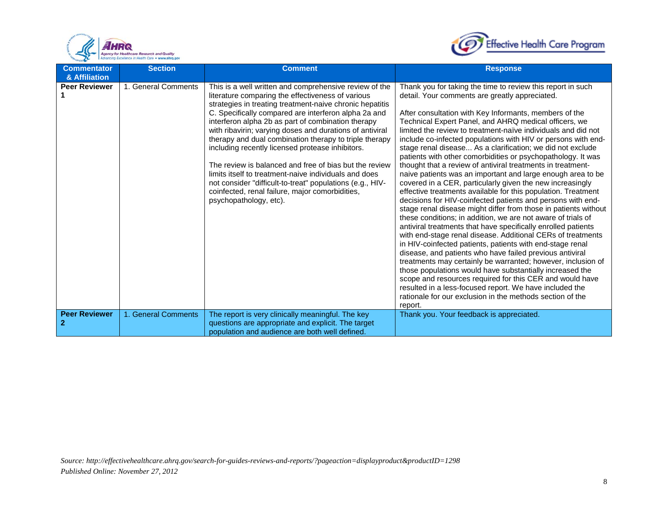



| <b>Commentator</b><br>& Affiliation | <b>Section</b>      | <b>Comment</b>                                                                                                                                                                                                                                                                                                                                                                                                                                                                                                                                                                                                                                                                                                               | <b>Response</b>                                                                                                                                                                                                                                                                                                                                                                                                                                                                                                                                                                                                                                                                                                                                                                                                                                                                                                                                                                                                                                                                                                                                                                                                                                                                                                                                                                                                                                                                                                                                    |
|-------------------------------------|---------------------|------------------------------------------------------------------------------------------------------------------------------------------------------------------------------------------------------------------------------------------------------------------------------------------------------------------------------------------------------------------------------------------------------------------------------------------------------------------------------------------------------------------------------------------------------------------------------------------------------------------------------------------------------------------------------------------------------------------------------|----------------------------------------------------------------------------------------------------------------------------------------------------------------------------------------------------------------------------------------------------------------------------------------------------------------------------------------------------------------------------------------------------------------------------------------------------------------------------------------------------------------------------------------------------------------------------------------------------------------------------------------------------------------------------------------------------------------------------------------------------------------------------------------------------------------------------------------------------------------------------------------------------------------------------------------------------------------------------------------------------------------------------------------------------------------------------------------------------------------------------------------------------------------------------------------------------------------------------------------------------------------------------------------------------------------------------------------------------------------------------------------------------------------------------------------------------------------------------------------------------------------------------------------------------|
| <b>Peer Reviewer</b>                | 1. General Comments | This is a well written and comprehensive review of the<br>literature comparing the effectiveness of various<br>strategies in treating treatment-naive chronic hepatitis<br>C. Specifically compared are interferon alpha 2a and<br>interferon alpha 2b as part of combination therapy<br>with ribavirin; varying doses and durations of antiviral<br>therapy and dual combination therapy to triple therapy<br>including recently licensed protease inhibitors.<br>The review is balanced and free of bias but the review<br>limits itself to treatment-naive individuals and does<br>not consider "difficult-to-treat" populations (e.g., HIV-<br>coinfected, renal failure, major comorbidities,<br>psychopathology, etc). | Thank you for taking the time to review this report in such<br>detail. Your comments are greatly appreciated.<br>After consultation with Key Informants, members of the<br>Technical Expert Panel, and AHRQ medical officers, we<br>limited the review to treatment-naïve individuals and did not<br>include co-infected populations with HIV or persons with end-<br>stage renal disease As a clarification; we did not exclude<br>patients with other comorbidities or psychopathology. It was<br>thought that a review of antiviral treatments in treatment-<br>naive patients was an important and large enough area to be<br>covered in a CER, particularly given the new increasingly<br>effective treatments available for this population. Treatment<br>decisions for HIV-coinfected patients and persons with end-<br>stage renal disease might differ from those in patients without<br>these conditions; in addition, we are not aware of trials of<br>antiviral treatments that have specifically enrolled patients<br>with end-stage renal disease. Additional CERs of treatments<br>in HIV-coinfected patients, patients with end-stage renal<br>disease, and patients who have failed previous antiviral<br>treatments may certainly be warranted; however, inclusion of<br>those populations would have substantially increased the<br>scope and resources required for this CER and would have<br>resulted in a less-focused report. We have included the<br>rationale for our exclusion in the methods section of the<br>report. |
| <b>Peer Reviewer</b><br>2           | 1. General Comments | The report is very clinically meaningful. The key<br>questions are appropriate and explicit. The target<br>population and audience are both well defined.                                                                                                                                                                                                                                                                                                                                                                                                                                                                                                                                                                    | Thank you. Your feedback is appreciated.                                                                                                                                                                                                                                                                                                                                                                                                                                                                                                                                                                                                                                                                                                                                                                                                                                                                                                                                                                                                                                                                                                                                                                                                                                                                                                                                                                                                                                                                                                           |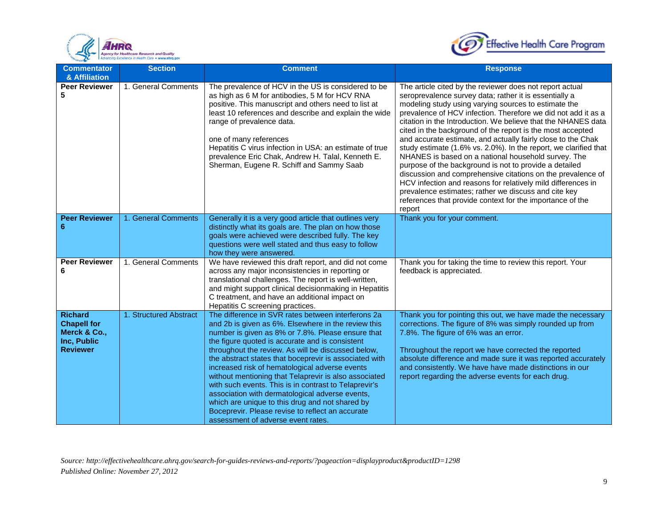



| <b>Commentator</b><br>& Affiliation                                                    | <b>Section</b>         | <b>Comment</b>                                                                                                                                                                                                                                                                                                                                                                                                                                                                                                                                                                                                                                                                                        | <b>Response</b>                                                                                                                                                                                                                                                                                                                                                                                                                                                                                                                                                                                                                                                                                                                                                                                                                                                                               |
|----------------------------------------------------------------------------------------|------------------------|-------------------------------------------------------------------------------------------------------------------------------------------------------------------------------------------------------------------------------------------------------------------------------------------------------------------------------------------------------------------------------------------------------------------------------------------------------------------------------------------------------------------------------------------------------------------------------------------------------------------------------------------------------------------------------------------------------|-----------------------------------------------------------------------------------------------------------------------------------------------------------------------------------------------------------------------------------------------------------------------------------------------------------------------------------------------------------------------------------------------------------------------------------------------------------------------------------------------------------------------------------------------------------------------------------------------------------------------------------------------------------------------------------------------------------------------------------------------------------------------------------------------------------------------------------------------------------------------------------------------|
| <b>Peer Reviewer</b><br>5                                                              | 1. General Comments    | The prevalence of HCV in the US is considered to be<br>as high as 6 M for antibodies, 5 M for HCV RNA<br>positive. This manuscript and others need to list at<br>least 10 references and describe and explain the wide<br>range of prevalence data.<br>one of many references<br>Hepatitis C virus infection in USA: an estimate of true<br>prevalence Eric Chak, Andrew H. Talal, Kenneth E.<br>Sherman, Eugene R. Schiff and Sammy Saab                                                                                                                                                                                                                                                             | The article cited by the reviewer does not report actual<br>seroprevalence survey data; rather it is essentially a<br>modeling study using varying sources to estimate the<br>prevalence of HCV infection. Therefore we did not add it as a<br>citation in the Introduction. We believe that the NHANES data<br>cited in the background of the report is the most accepted<br>and accurate estimate, and actually fairly close to the Chak<br>study estimate (1.6% vs. 2.0%). In the report, we clarified that<br>NHANES is based on a national household survey. The<br>purpose of the background is not to provide a detailed<br>discussion and comprehensive citations on the prevalence of<br>HCV infection and reasons for relatively mild differences in<br>prevalence estimates; rather we discuss and cite key<br>references that provide context for the importance of the<br>report |
| <b>Peer Reviewer</b><br>6                                                              | 1. General Comments    | Generally it is a very good article that outlines very<br>distinctly what its goals are. The plan on how those<br>goals were achieved were described fully. The key<br>questions were well stated and thus easy to follow<br>how they were answered.                                                                                                                                                                                                                                                                                                                                                                                                                                                  | Thank you for your comment.                                                                                                                                                                                                                                                                                                                                                                                                                                                                                                                                                                                                                                                                                                                                                                                                                                                                   |
| <b>Peer Reviewer</b><br>6                                                              | 1. General Comments    | We have reviewed this draft report, and did not come<br>across any major inconsistencies in reporting or<br>translational challenges. The report is well-written,<br>and might support clinical decisionmaking in Hepatitis<br>C treatment, and have an additional impact on<br>Hepatitis C screening practices.                                                                                                                                                                                                                                                                                                                                                                                      | Thank you for taking the time to review this report. Your<br>feedback is appreciated.                                                                                                                                                                                                                                                                                                                                                                                                                                                                                                                                                                                                                                                                                                                                                                                                         |
| <b>Richard</b><br><b>Chapell for</b><br>Merck & Co.,<br>Inc, Public<br><b>Reviewer</b> | 1. Structured Abstract | The difference in SVR rates between interferons 2a<br>and 2b is given as 6%. Elsewhere in the review this<br>number is given as 8% or 7.8%. Please ensure that<br>the figure quoted is accurate and is consistent<br>throughout the review. As will be discussed below,<br>the abstract states that boceprevir is associated with<br>increased risk of hematological adverse events<br>without mentioning that Telaprevir is also associated<br>with such events. This is in contrast to Telaprevir's<br>association with dermatological adverse events,<br>which are unique to this drug and not shared by<br>Boceprevir. Please revise to reflect an accurate<br>assessment of adverse event rates. | Thank you for pointing this out, we have made the necessary<br>corrections. The figure of 8% was simply rounded up from<br>7.8%. The figure of 6% was an error.<br>Throughout the report we have corrected the reported<br>absolute difference and made sure it was reported accurately<br>and consistently. We have have made distinctions in our<br>report regarding the adverse events for each drug.                                                                                                                                                                                                                                                                                                                                                                                                                                                                                      |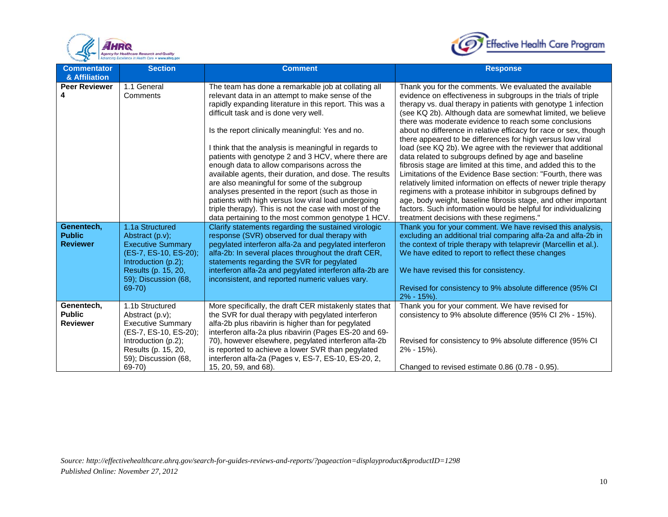



| <b>Commentator</b>                                                                      | <b>Section</b>                                                                                                                                                          | <b>Comment</b>                                                                                                                                                                                                                                                                                                                                                                                                                                                                                                                                                                                                                                                                                                                                                                                                                                                                                                                                                                                                                                                                                            | <b>Response</b>                                                                                                                                                                                                                                                                                                                                                                                                                                                                                                                                                                                                                                                                                                                                                                                                                                                                                                                                                                                                                                                                                                                                                                                                                                                                                                                        |
|-----------------------------------------------------------------------------------------|-------------------------------------------------------------------------------------------------------------------------------------------------------------------------|-----------------------------------------------------------------------------------------------------------------------------------------------------------------------------------------------------------------------------------------------------------------------------------------------------------------------------------------------------------------------------------------------------------------------------------------------------------------------------------------------------------------------------------------------------------------------------------------------------------------------------------------------------------------------------------------------------------------------------------------------------------------------------------------------------------------------------------------------------------------------------------------------------------------------------------------------------------------------------------------------------------------------------------------------------------------------------------------------------------|----------------------------------------------------------------------------------------------------------------------------------------------------------------------------------------------------------------------------------------------------------------------------------------------------------------------------------------------------------------------------------------------------------------------------------------------------------------------------------------------------------------------------------------------------------------------------------------------------------------------------------------------------------------------------------------------------------------------------------------------------------------------------------------------------------------------------------------------------------------------------------------------------------------------------------------------------------------------------------------------------------------------------------------------------------------------------------------------------------------------------------------------------------------------------------------------------------------------------------------------------------------------------------------------------------------------------------------|
| & Affiliation<br><b>Peer Reviewer</b><br>Genentech,<br><b>Public</b><br><b>Reviewer</b> | 1.1 General<br>Comments<br>1.1a Structured<br>Abstract (p.v);<br><b>Executive Summary</b><br>(ES-7, ES-10, ES-20);<br>Introduction $(p.2)$ ;<br>Results (p. 15, 20,     | The team has done a remarkable job at collating all<br>relevant data in an attempt to make sense of the<br>rapidly expanding literature in this report. This was a<br>difficult task and is done very well.<br>Is the report clinically meaningful: Yes and no.<br>I think that the analysis is meaningful in regards to<br>patients with genotype 2 and 3 HCV, where there are<br>enough data to allow comparisons across the<br>available agents, their duration, and dose. The results<br>are also meaningful for some of the subgroup<br>analyses presented in the report (such as those in<br>patients with high versus low viral load undergoing<br>triple therapy). This is not the case with most of the<br>data pertaining to the most common genotype 1 HCV.<br>Clarify statements regarding the sustained virologic<br>response (SVR) observed for dual therapy with<br>pegylated interferon alfa-2a and pegylated interferon<br>alfa-2b: In several places throughout the draft CER,<br>statements regarding the SVR for pegylated<br>interferon alfa-2a and pegylated interferon alfa-2b are | Thank you for the comments. We evaluated the available<br>evidence on effectiveness in subgroups in the trials of triple<br>therapy vs. dual therapy in patients with genotype 1 infection<br>(see KQ 2b). Although data are somewhat limited, we believe<br>there was moderate evidence to reach some conclusions<br>about no difference in relative efficacy for race or sex, though<br>there appeared to be differences for high versus low viral<br>load (see KQ 2b). We agree with the reviewer that additional<br>data related to subgroups defined by age and baseline<br>fibrosis stage are limited at this time, and added this to the<br>Limitations of the Evidence Base section: "Fourth, there was<br>relatively limited information on effects of newer triple therapy<br>regimens with a protease inhibitor in subgroups defined by<br>age, body weight, baseline fibrosis stage, and other important<br>factors. Such information would be helpful for individualizing<br>treatment decisions with these regimens."<br>Thank you for your comment. We have revised this analysis,<br>excluding an additional trial comparing alfa-2a and alfa-2b in<br>the context of triple therapy with telaprevir (Marcellin et al.).<br>We have edited to report to reflect these changes<br>We have revised this for consistency. |
|                                                                                         | 59); Discussion (68,<br>69-70)                                                                                                                                          | inconsistent, and reported numeric values vary.                                                                                                                                                                                                                                                                                                                                                                                                                                                                                                                                                                                                                                                                                                                                                                                                                                                                                                                                                                                                                                                           | Revised for consistency to 9% absolute difference (95% CI)<br>$2\% - 15\%$ ).                                                                                                                                                                                                                                                                                                                                                                                                                                                                                                                                                                                                                                                                                                                                                                                                                                                                                                                                                                                                                                                                                                                                                                                                                                                          |
| Genentech,<br><b>Public</b><br><b>Reviewer</b>                                          | 1.1b Structured<br>Abstract (p.v);<br><b>Executive Summary</b><br>(ES-7, ES-10, ES-20);<br>Introduction (p.2);<br>Results (p. 15, 20,<br>59); Discussion (68,<br>69-70) | More specifically, the draft CER mistakenly states that<br>the SVR for dual therapy with pegylated interferon<br>alfa-2b plus ribavirin is higher than for pegylated<br>interferon alfa-2a plus ribavirin (Pages ES-20 and 69-<br>70), however elsewhere, pegylated interferon alfa-2b<br>is reported to achieve a lower SVR than pegylated<br>interferon alfa-2a (Pages v, ES-7, ES-10, ES-20, 2,<br>15, 20, 59, and 68).                                                                                                                                                                                                                                                                                                                                                                                                                                                                                                                                                                                                                                                                                | Thank you for your comment. We have revised for<br>consistency to 9% absolute difference (95% CI 2% - 15%).<br>Revised for consistency to 9% absolute difference (95% CI<br>$2\% - 15\%$ ).<br>Changed to revised estimate 0.86 (0.78 - 0.95).                                                                                                                                                                                                                                                                                                                                                                                                                                                                                                                                                                                                                                                                                                                                                                                                                                                                                                                                                                                                                                                                                         |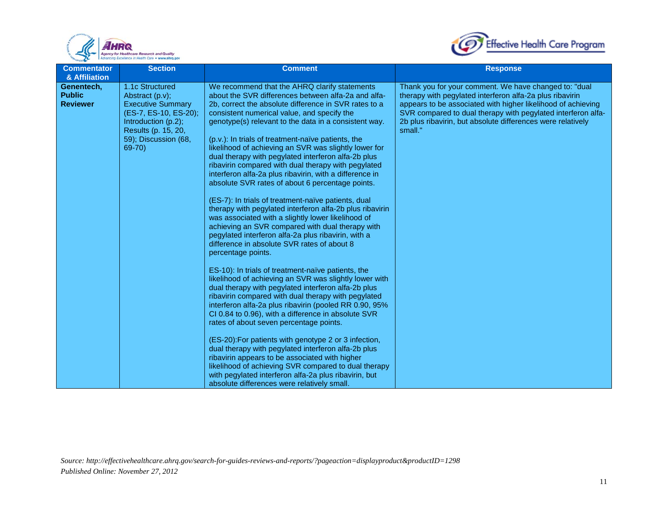



| <b>Commentator</b><br>& Affiliation            | <b>Section</b>                                                                                                                                                          | <b>Comment</b>                                                                                                                                                                                                                                                                                                                                                                                                                                                                                                                                                                                                                                                                                                                                                                                                                                                                                                                                                             | <b>Response</b>                                                                                                                                                                                                                                                                                                             |
|------------------------------------------------|-------------------------------------------------------------------------------------------------------------------------------------------------------------------------|----------------------------------------------------------------------------------------------------------------------------------------------------------------------------------------------------------------------------------------------------------------------------------------------------------------------------------------------------------------------------------------------------------------------------------------------------------------------------------------------------------------------------------------------------------------------------------------------------------------------------------------------------------------------------------------------------------------------------------------------------------------------------------------------------------------------------------------------------------------------------------------------------------------------------------------------------------------------------|-----------------------------------------------------------------------------------------------------------------------------------------------------------------------------------------------------------------------------------------------------------------------------------------------------------------------------|
| Genentech,<br><b>Public</b><br><b>Reviewer</b> | 1.1c Structured<br>Abstract (p.v);<br><b>Executive Summary</b><br>(ES-7, ES-10, ES-20);<br>Introduction (p.2);<br>Results (p. 15, 20,<br>59); Discussion (68,<br>69-70) | We recommend that the AHRQ clarify statements<br>about the SVR differences between alfa-2a and alfa-<br>2b, correct the absolute difference in SVR rates to a<br>consistent numerical value, and specify the<br>genotype(s) relevant to the data in a consistent way.<br>(p.v.): In trials of treatment-naïve patients, the<br>likelihood of achieving an SVR was slightly lower for<br>dual therapy with pegylated interferon alfa-2b plus<br>ribavirin compared with dual therapy with pegylated<br>interferon alfa-2a plus ribavirin, with a difference in<br>absolute SVR rates of about 6 percentage points.<br>(ES-7): In trials of treatment-naïve patients, dual<br>therapy with pegylated interferon alfa-2b plus ribavirin<br>was associated with a slightly lower likelihood of<br>achieving an SVR compared with dual therapy with<br>pegylated interferon alfa-2a plus ribavirin, with a<br>difference in absolute SVR rates of about 8<br>percentage points. | Thank you for your comment. We have changed to: "dual<br>therapy with pegylated interferon alfa-2a plus ribavirin<br>appears to be associated with higher likelihood of achieving<br>SVR compared to dual therapy with pegylated interferon alfa-<br>2b plus ribavirin, but absolute differences were relatively<br>small." |
|                                                |                                                                                                                                                                         | ES-10): In trials of treatment-naïve patients, the<br>likelihood of achieving an SVR was slightly lower with<br>dual therapy with pegylated interferon alfa-2b plus<br>ribavirin compared with dual therapy with pegylated<br>interferon alfa-2a plus ribavirin (pooled RR 0.90, 95%<br>CI 0.84 to 0.96), with a difference in absolute SVR<br>rates of about seven percentage points.<br>(ES-20): For patients with genotype 2 or 3 infection,<br>dual therapy with pegylated interferon alfa-2b plus<br>ribavirin appears to be associated with higher<br>likelihood of achieving SVR compared to dual therapy<br>with pegylated interferon alfa-2a plus ribavirin, but<br>absolute differences were relatively small.                                                                                                                                                                                                                                                   |                                                                                                                                                                                                                                                                                                                             |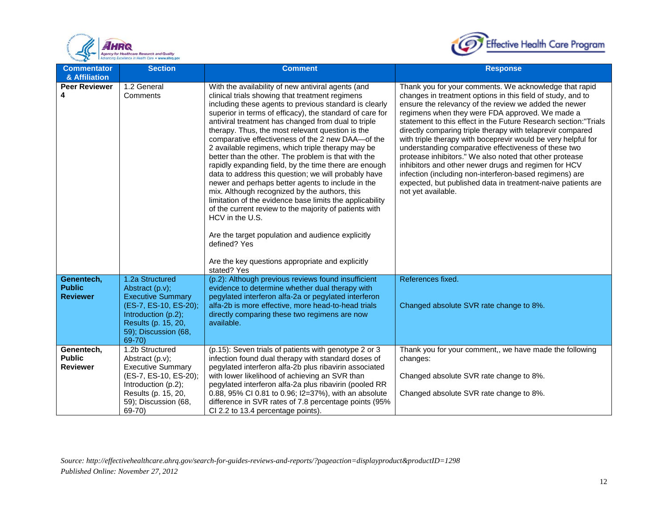



| <b>Commentator</b><br>& Affiliation            | <b>Section</b>                                                                                                                                                             | <b>Comment</b>                                                                                                                                                                                                                                                                                                                                                                                                                                                                                                                                                                                                                                                                                                                                                                                                                                                                                                                                                                                                  | <b>Response</b>                                                                                                                                                                                                                                                                                                                                                                                                                                                                                                                                                                                                                                                                                                                                                 |
|------------------------------------------------|----------------------------------------------------------------------------------------------------------------------------------------------------------------------------|-----------------------------------------------------------------------------------------------------------------------------------------------------------------------------------------------------------------------------------------------------------------------------------------------------------------------------------------------------------------------------------------------------------------------------------------------------------------------------------------------------------------------------------------------------------------------------------------------------------------------------------------------------------------------------------------------------------------------------------------------------------------------------------------------------------------------------------------------------------------------------------------------------------------------------------------------------------------------------------------------------------------|-----------------------------------------------------------------------------------------------------------------------------------------------------------------------------------------------------------------------------------------------------------------------------------------------------------------------------------------------------------------------------------------------------------------------------------------------------------------------------------------------------------------------------------------------------------------------------------------------------------------------------------------------------------------------------------------------------------------------------------------------------------------|
| <b>Peer Reviewer</b><br>4                      | 1.2 General<br>Comments                                                                                                                                                    | With the availability of new antiviral agents (and<br>clinical trials showing that treatment regimens<br>including these agents to previous standard is clearly<br>superior in terms of efficacy), the standard of care for<br>antiviral treatment has changed from dual to triple<br>therapy. Thus, the most relevant question is the<br>comparative effectiveness of the 2 new DAA-of the<br>2 available regimens, which triple therapy may be<br>better than the other. The problem is that with the<br>rapidly expanding field, by the time there are enough<br>data to address this question; we will probably have<br>newer and perhaps better agents to include in the<br>mix. Although recognized by the authors, this<br>limitation of the evidence base limits the applicability<br>of the current review to the majority of patients with<br>HCV in the U.S.<br>Are the target population and audience explicitly<br>defined? Yes<br>Are the key questions appropriate and explicitly<br>stated? Yes | Thank you for your comments. We acknowledge that rapid<br>changes in treatment options in this field of study, and to<br>ensure the relevancy of the review we added the newer<br>regimens when they were FDA approved. We made a<br>statement to this effect in the Future Research section:"Trials<br>directly comparing triple therapy with telaprevir compared<br>with triple therapy with boceprevir would be very helpful for<br>understanding comparative effectiveness of these two<br>protease inhibitors." We also noted that other protease<br>inhibitors and other newer drugs and regimen for HCV<br>infection (including non-interferon-based regimens) are<br>expected, but published data in treatment-naive patients are<br>not yet available. |
| Genentech,<br><b>Public</b><br><b>Reviewer</b> | 1.2a Structured<br>Abstract (p.v);<br><b>Executive Summary</b><br>(ES-7, ES-10, ES-20);<br>Introduction (p.2);<br>Results (p. 15, 20,<br>59); Discussion (68,<br>$69 - 70$ | (p.2): Although previous reviews found insufficient<br>evidence to determine whether dual therapy with<br>pegylated interferon alfa-2a or pegylated interferon<br>alfa-2b is more effective, more head-to-head trials<br>directly comparing these two regimens are now<br>available.                                                                                                                                                                                                                                                                                                                                                                                                                                                                                                                                                                                                                                                                                                                            | References fixed.<br>Changed absolute SVR rate change to 8%.                                                                                                                                                                                                                                                                                                                                                                                                                                                                                                                                                                                                                                                                                                    |
| Genentech,<br><b>Public</b><br><b>Reviewer</b> | 1.2b Structured<br>Abstract (p.v);<br><b>Executive Summary</b><br>(ES-7, ES-10, ES-20);<br>Introduction (p.2);<br>Results (p. 15, 20,<br>59); Discussion (68,<br>$69-70$   | (p.15): Seven trials of patients with genotype 2 or 3<br>infection found dual therapy with standard doses of<br>pegylated interferon alfa-2b plus ribavirin associated<br>with lower likelihood of achieving an SVR than<br>pegylated interferon alfa-2a plus ribavirin (pooled RR<br>0.88, 95% CI 0.81 to 0.96; I2=37%), with an absolute<br>difference in SVR rates of 7.8 percentage points (95%<br>CI 2.2 to 13.4 percentage points).                                                                                                                                                                                                                                                                                                                                                                                                                                                                                                                                                                       | Thank you for your comment,, we have made the following<br>changes:<br>Changed absolute SVR rate change to 8%.<br>Changed absolute SVR rate change to 8%.                                                                                                                                                                                                                                                                                                                                                                                                                                                                                                                                                                                                       |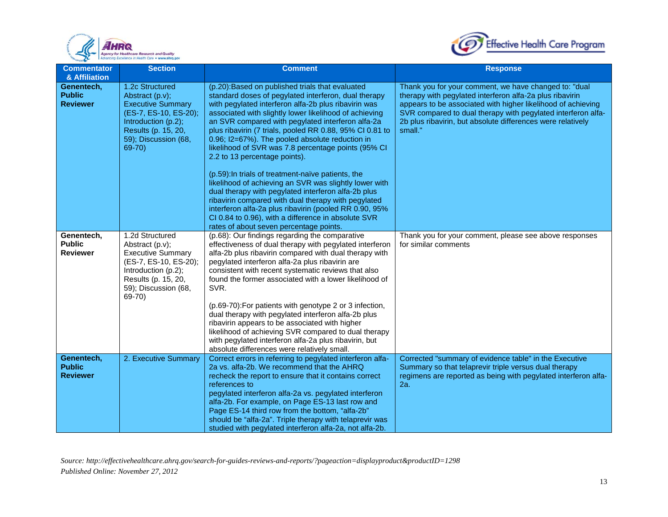



| <b>Commentator</b><br>& Affiliation            | <b>Section</b>                                                                                                                                                          | <b>Comment</b>                                                                                                                                                                                                                                                                                                                                                                                                                                                                                                                                                                                                                                                                                                                                                                                                                                                                   | <b>Response</b>                                                                                                                                                                                                                                                                                                             |
|------------------------------------------------|-------------------------------------------------------------------------------------------------------------------------------------------------------------------------|----------------------------------------------------------------------------------------------------------------------------------------------------------------------------------------------------------------------------------------------------------------------------------------------------------------------------------------------------------------------------------------------------------------------------------------------------------------------------------------------------------------------------------------------------------------------------------------------------------------------------------------------------------------------------------------------------------------------------------------------------------------------------------------------------------------------------------------------------------------------------------|-----------------------------------------------------------------------------------------------------------------------------------------------------------------------------------------------------------------------------------------------------------------------------------------------------------------------------|
| Genentech,<br><b>Public</b><br><b>Reviewer</b> | 1.2c Structured<br>Abstract (p.v);<br><b>Executive Summary</b><br>(ES-7, ES-10, ES-20);<br>Introduction (p.2);<br>Results (p. 15, 20,<br>59); Discussion (68,<br>69-70) | (p.20): Based on published trials that evaluated<br>standard doses of pegylated interferon, dual therapy<br>with pegylated interferon alfa-2b plus ribavirin was<br>associated with slightly lower likelihood of achieving<br>an SVR compared with pegylated interferon alfa-2a<br>plus ribavirin (7 trials, pooled RR 0.88, 95% CI 0.81 to<br>0.96; I2=67%). The pooled absolute reduction in<br>likelihood of SVR was 7.8 percentage points (95% CI<br>2.2 to 13 percentage points).<br>(p.59): In trials of treatment-naïve patients, the<br>likelihood of achieving an SVR was slightly lower with<br>dual therapy with pegylated interferon alfa-2b plus<br>ribavirin compared with dual therapy with pegylated<br>interferon alfa-2a plus ribavirin (pooled RR 0.90, 95%<br>CI 0.84 to 0.96), with a difference in absolute SVR<br>rates of about seven percentage points. | Thank you for your comment, we have changed to: "dual<br>therapy with pegylated interferon alfa-2a plus ribavirin<br>appears to be associated with higher likelihood of achieving<br>SVR compared to dual therapy with pegylated interferon alfa-<br>2b plus ribavirin, but absolute differences were relatively<br>small." |
| Genentech,<br><b>Public</b><br><b>Reviewer</b> | 1.2d Structured<br>Abstract (p.v);<br><b>Executive Summary</b><br>(ES-7, ES-10, ES-20);<br>Introduction (p.2);<br>Results (p. 15, 20,<br>59); Discussion (68,<br>69-70) | (p.68): Our findings regarding the comparative<br>effectiveness of dual therapy with pegylated interferon<br>alfa-2b plus ribavirin compared with dual therapy with<br>pegylated interferon alfa-2a plus ribavirin are<br>consistent with recent systematic reviews that also<br>found the former associated with a lower likelihood of<br>SVR.<br>(p.69-70): For patients with genotype 2 or 3 infection,<br>dual therapy with pegylated interferon alfa-2b plus<br>ribavirin appears to be associated with higher<br>likelihood of achieving SVR compared to dual therapy<br>with pegylated interferon alfa-2a plus ribavirin, but<br>absolute differences were relatively small.                                                                                                                                                                                              | Thank you for your comment, please see above responses<br>for similar comments                                                                                                                                                                                                                                              |
| Genentech,<br><b>Public</b><br><b>Reviewer</b> | 2. Executive Summary                                                                                                                                                    | Correct errors in referring to pegylated interferon alfa-<br>2a vs. alfa-2b. We recommend that the AHRQ<br>recheck the report to ensure that it contains correct<br>references to<br>pegylated interferon alfa-2a vs. pegylated interferon<br>alfa-2b. For example, on Page ES-13 last row and<br>Page ES-14 third row from the bottom, "alfa-2b"<br>should be "alfa-2a". Triple therapy with telaprevir was<br>studied with pegylated interferon alfa-2a, not alfa-2b.                                                                                                                                                                                                                                                                                                                                                                                                          | Corrected "summary of evidence table" in the Executive<br>Summary so that telaprevir triple versus dual therapy<br>regimens are reported as being with pegylated interferon alfa-<br>2a.                                                                                                                                    |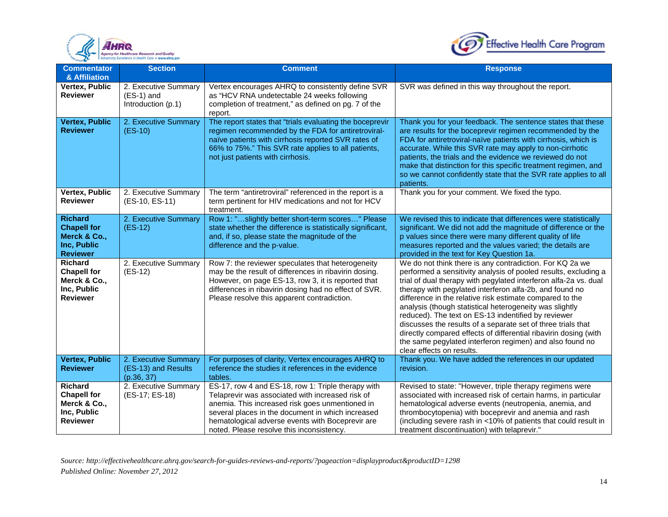



| <b>Commentator</b><br>& Affiliation                                                    | <b>Section</b>                                             | <b>Comment</b>                                                                                                                                                                                                                                                                                                  | <b>Response</b>                                                                                                                                                                                                                                                                                                                                                                                                                                                                                                                                                                                                                                                       |
|----------------------------------------------------------------------------------------|------------------------------------------------------------|-----------------------------------------------------------------------------------------------------------------------------------------------------------------------------------------------------------------------------------------------------------------------------------------------------------------|-----------------------------------------------------------------------------------------------------------------------------------------------------------------------------------------------------------------------------------------------------------------------------------------------------------------------------------------------------------------------------------------------------------------------------------------------------------------------------------------------------------------------------------------------------------------------------------------------------------------------------------------------------------------------|
| Vertex, Public<br><b>Reviewer</b>                                                      | 2. Executive Summary<br>$(ES-1)$ and<br>Introduction (p.1) | Vertex encourages AHRQ to consistently define SVR<br>as "HCV RNA undetectable 24 weeks following<br>completion of treatment," as defined on pg. 7 of the<br>report.                                                                                                                                             | SVR was defined in this way throughout the report.                                                                                                                                                                                                                                                                                                                                                                                                                                                                                                                                                                                                                    |
| <b>Vertex, Public</b><br><b>Reviewer</b>                                               | 2. Executive Summary<br>$(ES-10)$                          | The report states that "trials evaluating the boceprevir<br>regimen recommended by the FDA for antiretroviral-<br>naïve patients with cirrhosis reported SVR rates of<br>66% to 75%." This SVR rate applies to all patients,<br>not just patients with cirrhosis.                                               | Thank you for your feedback. The sentence states that these<br>are results for the boceprevir regimen recommended by the<br>FDA for antiretroviral-naïve patients with cirrhosis, which is<br>accurate. While this SVR rate may apply to non-cirrhotic<br>patients, the trials and the evidence we reviewed do not<br>make that distinction for this specific treatment regimen, and<br>so we cannot confidently state that the SVR rate applies to all<br>patients.                                                                                                                                                                                                  |
| Vertex, Public<br><b>Reviewer</b>                                                      | 2. Executive Summary<br>(ES-10, ES-11)                     | The term "antiretroviral" referenced in the report is a<br>term pertinent for HIV medications and not for HCV<br>treatment.                                                                                                                                                                                     | Thank you for your comment. We fixed the typo.                                                                                                                                                                                                                                                                                                                                                                                                                                                                                                                                                                                                                        |
| <b>Richard</b><br><b>Chapell for</b><br>Merck & Co.,<br>Inc, Public<br><b>Reviewer</b> | 2. Executive Summary<br>$(ES-12)$                          | Row 1: "slightly better short-term scores" Please<br>state whether the difference is statistically significant,<br>and, if so, please state the magnitude of the<br>difference and the p-value.                                                                                                                 | We revised this to indicate that differences were statistically<br>significant. We did not add the magnitude of difference or the<br>p values since there were many different quality of life<br>measures reported and the values varied; the details are<br>provided in the text for Key Question 1a.                                                                                                                                                                                                                                                                                                                                                                |
| Richard<br><b>Chapell for</b><br>Merck & Co.,<br>Inc, Public<br><b>Reviewer</b>        | 2. Executive Summary<br>$(ES-12)$                          | Row 7: the reviewer speculates that heterogeneity<br>may be the result of differences in ribavirin dosing.<br>However, on page ES-13, row 3, it is reported that<br>differences in ribavirin dosing had no effect of SVR.<br>Please resolve this apparent contradiction.                                        | We do not think there is any contradiction. For KQ 2a we<br>performed a sensitivity analysis of pooled results, excluding a<br>trial of dual therapy with pegylated interferon alfa-2a vs. dual<br>therapy with pegylated interferon alfa-2b, and found no<br>difference in the relative risk estimate compared to the<br>analysis (though statistical heterogeneity was slightly<br>reduced). The text on ES-13 indentified by reviewer<br>discusses the results of a separate set of three trials that<br>directly compared effects of differential ribavirin dosing (with<br>the same pegylated interferon regimen) and also found no<br>clear effects on results. |
| <b>Vertex, Public</b><br><b>Reviewer</b>                                               | 2. Executive Summary<br>(ES-13) and Results<br>(p.36, 37)  | For purposes of clarity, Vertex encourages AHRQ to<br>reference the studies it references in the evidence<br>tables.                                                                                                                                                                                            | Thank you. We have added the references in our updated<br>revision.                                                                                                                                                                                                                                                                                                                                                                                                                                                                                                                                                                                                   |
| <b>Richard</b><br><b>Chapell for</b><br>Merck & Co.,<br>Inc, Public<br><b>Reviewer</b> | 2. Executive Summary<br>(ES-17; ES-18)                     | ES-17, row 4 and ES-18, row 1: Triple therapy with<br>Telaprevir was associated with increased risk of<br>anemia. This increased risk goes unmentioned in<br>several places in the document in which increased<br>hematological adverse events with Boceprevir are<br>noted. Please resolve this inconsistency. | Revised to state: "However, triple therapy regimens were<br>associated with increased risk of certain harms, in particular<br>hematological adverse events (neutropenia, anemia, and<br>thrombocytopenia) with boceprevir and anemia and rash<br>(including severe rash in <10% of patients that could result in<br>treatment discontinuation) with telaprevir."                                                                                                                                                                                                                                                                                                      |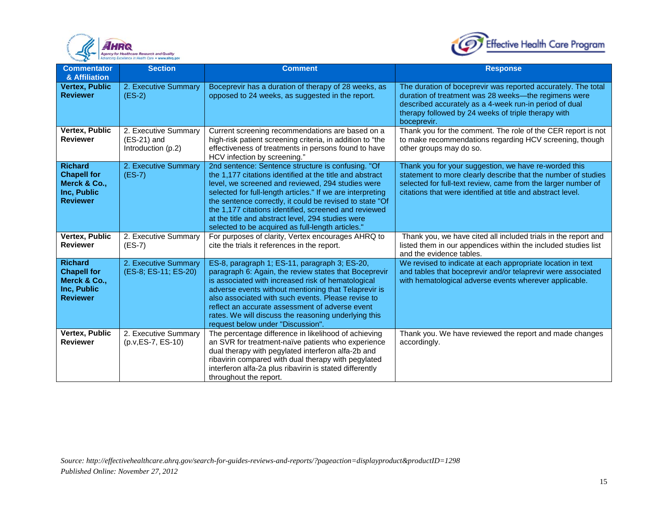



| <b>Commentator</b><br>& Affiliation                                                    | <b>Section</b>                                              | <b>Comment</b>                                                                                                                                                                                                                                                                                                                                                                                                                                                   | <b>Response</b>                                                                                                                                                                                                                                        |
|----------------------------------------------------------------------------------------|-------------------------------------------------------------|------------------------------------------------------------------------------------------------------------------------------------------------------------------------------------------------------------------------------------------------------------------------------------------------------------------------------------------------------------------------------------------------------------------------------------------------------------------|--------------------------------------------------------------------------------------------------------------------------------------------------------------------------------------------------------------------------------------------------------|
| <b>Vertex, Public</b><br><b>Reviewer</b>                                               | 2. Executive Summary<br>$(ES-2)$                            | Boceprevir has a duration of therapy of 28 weeks, as<br>opposed to 24 weeks, as suggested in the report.                                                                                                                                                                                                                                                                                                                                                         | The duration of boceprevir was reported accurately. The total<br>duration of treatment was 28 weeks-the regimens were<br>described accurately as a 4-week run-in period of dual<br>therapy followed by 24 weeks of triple therapy with<br>boceprevir.  |
| Vertex, Public<br><b>Reviewer</b>                                                      | 2. Executive Summary<br>$(ES-21)$ and<br>Introduction (p.2) | Current screening recommendations are based on a<br>high-risk patient screening criteria, in addition to "the<br>effectiveness of treatments in persons found to have<br>HCV infection by screening."                                                                                                                                                                                                                                                            | Thank you for the comment. The role of the CER report is not<br>to make recommendations regarding HCV screening, though<br>other groups may do so.                                                                                                     |
| <b>Richard</b><br><b>Chapell for</b><br>Merck & Co.,<br>Inc. Public<br><b>Reviewer</b> | 2. Executive Summary<br>$(ES-7)$                            | 2nd sentence: Sentence structure is confusing. "Of<br>the 1,177 citations identified at the title and abstract<br>level, we screened and reviewed, 294 studies were<br>selected for full-length articles." If we are interpreting<br>the sentence correctly, it could be revised to state "Of<br>the 1,177 citations identified, screened and reviewed<br>at the title and abstract level, 294 studies were<br>selected to be acquired as full-length articles." | Thank you for your suggestion, we have re-worded this<br>statement to more clearly describe that the number of studies<br>selected for full-text review, came from the larger number of<br>citations that were identified at title and abstract level. |
| Vertex, Public<br><b>Reviewer</b>                                                      | 2. Executive Summary<br>$(ES-7)$                            | For purposes of clarity, Vertex encourages AHRQ to<br>cite the trials it references in the report.                                                                                                                                                                                                                                                                                                                                                               | Thank you, we have cited all included trials in the report and<br>listed them in our appendices within the included studies list<br>and the evidence tables.                                                                                           |
| <b>Richard</b><br><b>Chapell for</b><br>Merck & Co.,<br>Inc, Public<br><b>Reviewer</b> | 2. Executive Summary<br>(ES-8; ES-11; ES-20)                | ES-8, paragraph 1; ES-11, paragraph 3; ES-20,<br>paragraph 6: Again, the review states that Boceprevir<br>is associated with increased risk of hematological<br>adverse events without mentioning that Telaprevir is<br>also associated with such events. Please revise to<br>reflect an accurate assessment of adverse event<br>rates. We will discuss the reasoning underlying this<br>request below under "Discussion".                                       | We revised to indicate at each appropriate location in text<br>and tables that boceprevir and/or telaprevir were associated<br>with hematological adverse events wherever applicable.                                                                  |
| Vertex, Public<br><b>Reviewer</b>                                                      | 2. Executive Summary<br>(p.v, ES-7, ES-10)                  | The percentage difference in likelihood of achieving<br>an SVR for treatment-naïve patients who experience<br>dual therapy with pegylated interferon alfa-2b and<br>ribavirin compared with dual therapy with pegylated<br>interferon alfa-2a plus ribavirin is stated differently<br>throughout the report.                                                                                                                                                     | Thank you. We have reviewed the report and made changes<br>accordingly.                                                                                                                                                                                |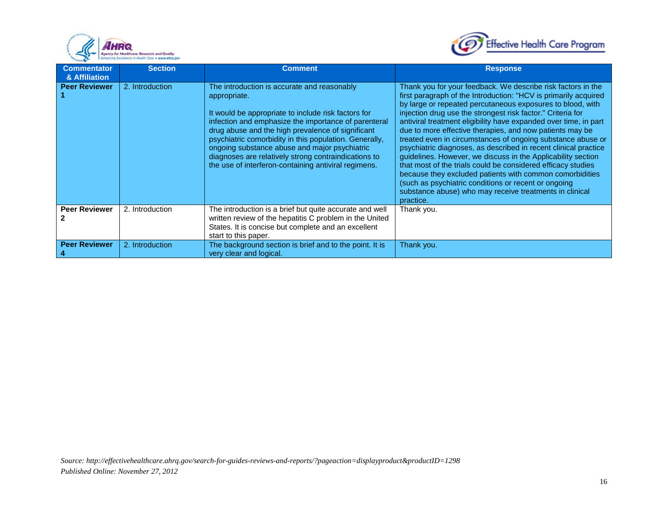



| <b>Commentator</b><br>& Affiliation | <b>Section</b>  | <b>Comment</b>                                                                                                                                                                                                                                                                                                                                                                                                                                             | <b>Response</b>                                                                                                                                                                                                                                                                                                                                                                                                                                                                                                                                                                                                                                                                                                                                                                                                                                            |
|-------------------------------------|-----------------|------------------------------------------------------------------------------------------------------------------------------------------------------------------------------------------------------------------------------------------------------------------------------------------------------------------------------------------------------------------------------------------------------------------------------------------------------------|------------------------------------------------------------------------------------------------------------------------------------------------------------------------------------------------------------------------------------------------------------------------------------------------------------------------------------------------------------------------------------------------------------------------------------------------------------------------------------------------------------------------------------------------------------------------------------------------------------------------------------------------------------------------------------------------------------------------------------------------------------------------------------------------------------------------------------------------------------|
| <b>Peer Reviewer</b>                | 2. Introduction | The introduction is accurate and reasonably<br>appropriate.<br>It would be appropriate to include risk factors for<br>infection and emphasize the importance of parenteral<br>drug abuse and the high prevalence of significant<br>psychiatric comorbidity in this population. Generally,<br>ongoing substance abuse and major psychiatric<br>diagnoses are relatively strong contraindications to<br>the use of interferon-containing antiviral regimens. | Thank you for your feedback. We describe risk factors in the<br>first paragraph of the Introduction: "HCV is primarily acquired<br>by large or repeated percutaneous exposures to blood, with<br>injection drug use the strongest risk factor." Criteria for<br>antiviral treatment eligibility have expanded over time, in part<br>due to more effective therapies, and now patients may be<br>treated even in circumstances of ongoing substance abuse or<br>psychiatric diagnoses, as described in recent clinical practice<br>guidelines. However, we discuss in the Applicability section<br>that most of the trials could be considered efficacy studies<br>because they excluded patients with common comorbidities<br>(such as psychiatric conditions or recent or ongoing<br>substance abuse) who may receive treatments in clinical<br>practice. |
| <b>Peer Reviewer</b>                | 2. Introduction | The introduction is a brief but quite accurate and well<br>written review of the hepatitis C problem in the United<br>States. It is concise but complete and an excellent<br>start to this paper.                                                                                                                                                                                                                                                          | Thank you.                                                                                                                                                                                                                                                                                                                                                                                                                                                                                                                                                                                                                                                                                                                                                                                                                                                 |
| <b>Peer Reviewer</b>                | 2. Introduction | The background section is brief and to the point. It is<br>very clear and logical.                                                                                                                                                                                                                                                                                                                                                                         | Thank you.                                                                                                                                                                                                                                                                                                                                                                                                                                                                                                                                                                                                                                                                                                                                                                                                                                                 |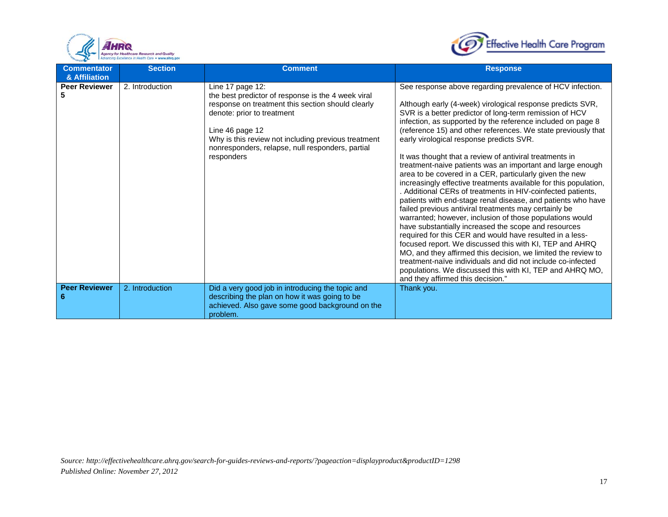



| <b>Commentator</b><br>& Affiliation | <b>Section</b>  | <b>Comment</b>                                                                                                                                                                                                                                                                                        | <b>Response</b>                                                                                                                                                                                                                                                                                                                                                                                                                                                                                                                                                                                                                                                                                                                                                                                                                                                                                                                                                                                                                                                                                                                                                                                                                                                                            |
|-------------------------------------|-----------------|-------------------------------------------------------------------------------------------------------------------------------------------------------------------------------------------------------------------------------------------------------------------------------------------------------|--------------------------------------------------------------------------------------------------------------------------------------------------------------------------------------------------------------------------------------------------------------------------------------------------------------------------------------------------------------------------------------------------------------------------------------------------------------------------------------------------------------------------------------------------------------------------------------------------------------------------------------------------------------------------------------------------------------------------------------------------------------------------------------------------------------------------------------------------------------------------------------------------------------------------------------------------------------------------------------------------------------------------------------------------------------------------------------------------------------------------------------------------------------------------------------------------------------------------------------------------------------------------------------------|
| <b>Peer Reviewer</b><br>5           | 2. Introduction | Line 17 page 12:<br>the best predictor of response is the 4 week viral<br>response on treatment this section should clearly<br>denote: prior to treatment<br>Line 46 page 12<br>Why is this review not including previous treatment<br>nonresponders, relapse, null responders, partial<br>responders | See response above regarding prevalence of HCV infection.<br>Although early (4-week) virological response predicts SVR,<br>SVR is a better predictor of long-term remission of HCV<br>infection, as supported by the reference included on page 8<br>(reference 15) and other references. We state previously that<br>early virological response predicts SVR.<br>It was thought that a review of antiviral treatments in<br>treatment-naive patients was an important and large enough<br>area to be covered in a CER, particularly given the new<br>increasingly effective treatments available for this population,<br>. Additional CERs of treatments in HIV-coinfected patients,<br>patients with end-stage renal disease, and patients who have<br>failed previous antiviral treatments may certainly be<br>warranted; however, inclusion of those populations would<br>have substantially increased the scope and resources<br>required for this CER and would have resulted in a less-<br>focused report. We discussed this with KI, TEP and AHRQ<br>MO, and they affirmed this decision, we limited the review to<br>treatment-naïve individuals and did not include co-infected<br>populations. We discussed this with KI, TEP and AHRQ MO,<br>and they affirmed this decision." |
| <b>Peer Reviewer</b>                | 2. Introduction | Did a very good job in introducing the topic and<br>describing the plan on how it was going to be<br>achieved. Also gave some good background on the<br>problem.                                                                                                                                      | Thank you.                                                                                                                                                                                                                                                                                                                                                                                                                                                                                                                                                                                                                                                                                                                                                                                                                                                                                                                                                                                                                                                                                                                                                                                                                                                                                 |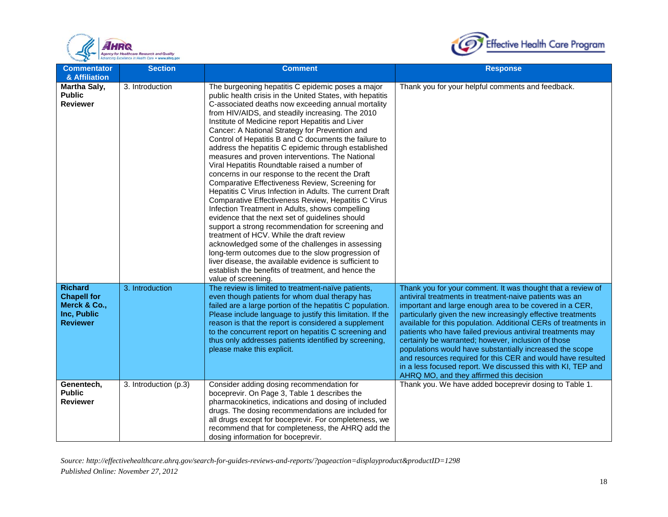



| <b>Commentator</b>                                                                     | <b>Section</b>        | <b>Comment</b>                                                                                                                                                                                                                                                                                                                                                                                                                                                                                                                                                                                                                                                                                                                                                                                                                                                                                                                                                                                                                                                                                                                                                                                                                       | <b>Response</b>                                                                                                                                                                                                                                                                                                                                                                                                                                                                                                                                                                                                                                                                  |
|----------------------------------------------------------------------------------------|-----------------------|--------------------------------------------------------------------------------------------------------------------------------------------------------------------------------------------------------------------------------------------------------------------------------------------------------------------------------------------------------------------------------------------------------------------------------------------------------------------------------------------------------------------------------------------------------------------------------------------------------------------------------------------------------------------------------------------------------------------------------------------------------------------------------------------------------------------------------------------------------------------------------------------------------------------------------------------------------------------------------------------------------------------------------------------------------------------------------------------------------------------------------------------------------------------------------------------------------------------------------------|----------------------------------------------------------------------------------------------------------------------------------------------------------------------------------------------------------------------------------------------------------------------------------------------------------------------------------------------------------------------------------------------------------------------------------------------------------------------------------------------------------------------------------------------------------------------------------------------------------------------------------------------------------------------------------|
| & Affiliation<br><b>Martha Saly,</b><br><b>Public</b><br><b>Reviewer</b>               | 3. Introduction       | The burgeoning hepatitis C epidemic poses a major<br>public health crisis in the United States, with hepatitis<br>C-associated deaths now exceeding annual mortality<br>from HIV/AIDS, and steadily increasing. The 2010<br>Institute of Medicine report Hepatitis and Liver<br>Cancer: A National Strategy for Prevention and<br>Control of Hepatitis B and C documents the failure to<br>address the hepatitis C epidemic through established<br>measures and proven interventions. The National<br>Viral Hepatitis Roundtable raised a number of<br>concerns in our response to the recent the Draft<br>Comparative Effectiveness Review, Screening for<br>Hepatitis C Virus Infection in Adults. The current Draft<br>Comparative Effectiveness Review, Hepatitis C Virus<br>Infection Treatment in Adults, shows compelling<br>evidence that the next set of guidelines should<br>support a strong recommendation for screening and<br>treatment of HCV. While the draft review<br>acknowledged some of the challenges in assessing<br>long-term outcomes due to the slow progression of<br>liver disease, the available evidence is sufficient to<br>establish the benefits of treatment, and hence the<br>value of screening. | Thank you for your helpful comments and feedback.                                                                                                                                                                                                                                                                                                                                                                                                                                                                                                                                                                                                                                |
| <b>Richard</b><br><b>Chapell for</b><br>Merck & Co.,<br>Inc, Public<br><b>Reviewer</b> | 3. Introduction       | The review is limited to treatment-naïve patients,<br>even though patients for whom dual therapy has<br>failed are a large portion of the hepatitis C population.<br>Please include language to justify this limitation. If the<br>reason is that the report is considered a supplement<br>to the concurrent report on hepatitis C screening and<br>thus only addresses patients identified by screening,<br>please make this explicit.                                                                                                                                                                                                                                                                                                                                                                                                                                                                                                                                                                                                                                                                                                                                                                                              | Thank you for your comment. It was thought that a review of<br>antiviral treatments in treatment-naive patients was an<br>important and large enough area to be covered in a CER,<br>particularly given the new increasingly effective treatments<br>available for this population. Additional CERs of treatments in<br>patients who have failed previous antiviral treatments may<br>certainly be warranted; however, inclusion of those<br>populations would have substantially increased the scope<br>and resources required for this CER and would have resulted<br>in a less focused report. We discussed this with KI, TEP and<br>AHRQ MO, and they affirmed this decision |
| Genentech,<br><b>Public</b><br><b>Reviewer</b>                                         | 3. Introduction (p.3) | Consider adding dosing recommendation for<br>boceprevir. On Page 3, Table 1 describes the<br>pharmacokinetics, indications and dosing of included<br>drugs. The dosing recommendations are included for<br>all drugs except for boceprevir. For completeness, we<br>recommend that for completeness, the AHRQ add the<br>dosing information for boceprevir.                                                                                                                                                                                                                                                                                                                                                                                                                                                                                                                                                                                                                                                                                                                                                                                                                                                                          | Thank you. We have added boceprevir dosing to Table 1.                                                                                                                                                                                                                                                                                                                                                                                                                                                                                                                                                                                                                           |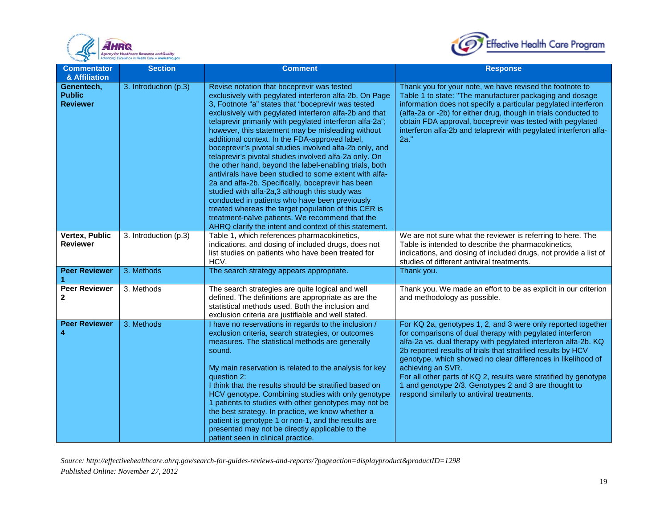



| <b>Commentator</b><br>& Affiliation            | <b>Section</b>        | <b>Comment</b>                                                                                                                                                                                                                                                                                                                                                                                                                                                                                                                                                                                                                                                                                                                                                                                                                                                                                                                                                 | <b>Response</b>                                                                                                                                                                                                                                                                                                                                                                                                                                                                                                            |
|------------------------------------------------|-----------------------|----------------------------------------------------------------------------------------------------------------------------------------------------------------------------------------------------------------------------------------------------------------------------------------------------------------------------------------------------------------------------------------------------------------------------------------------------------------------------------------------------------------------------------------------------------------------------------------------------------------------------------------------------------------------------------------------------------------------------------------------------------------------------------------------------------------------------------------------------------------------------------------------------------------------------------------------------------------|----------------------------------------------------------------------------------------------------------------------------------------------------------------------------------------------------------------------------------------------------------------------------------------------------------------------------------------------------------------------------------------------------------------------------------------------------------------------------------------------------------------------------|
| Genentech,<br><b>Public</b><br><b>Reviewer</b> | 3. Introduction (p.3) | Revise notation that boceprevir was tested<br>exclusively with pegylated interferon alfa-2b. On Page<br>3, Footnote "a" states that "boceprevir was tested<br>exclusively with pegylated interferon alfa-2b and that<br>telaprevir primarily with pegylated interferon alfa-2a";<br>however, this statement may be misleading without<br>additional context. In the FDA-approved label,<br>boceprevir's pivotal studies involved alfa-2b only, and<br>telaprevir's pivotal studies involved alfa-2a only. On<br>the other hand, beyond the label-enabling trials, both<br>antivirals have been studied to some extent with alfa-<br>2a and alfa-2b. Specifically, boceprevir has been<br>studied with alfa-2a,3 although this study was<br>conducted in patients who have been previously<br>treated whereas the target population of this CER is<br>treatment-naïve patients. We recommend that the<br>AHRQ clarify the intent and context of this statement. | Thank you for your note, we have revised the footnote to<br>Table 1 to state: "The manufacturer packaging and dosage<br>information does not specify a particular pegylated interferon<br>(alfa-2a or -2b) for either drug, though in trials conducted to<br>obtain FDA approval, boceprevir was tested with pegylated<br>interferon alfa-2b and telaprevir with pegylated interferon alfa-<br>2a."                                                                                                                        |
| Vertex, Public<br><b>Reviewer</b>              | 3. Introduction (p.3) | Table 1, which references pharmacokinetics,<br>indications, and dosing of included drugs, does not<br>list studies on patients who have been treated for<br>HCV.                                                                                                                                                                                                                                                                                                                                                                                                                                                                                                                                                                                                                                                                                                                                                                                               | We are not sure what the reviewer is referring to here. The<br>Table is intended to describe the pharmacokinetics,<br>indications, and dosing of included drugs, not provide a list of<br>studies of different antiviral treatments.                                                                                                                                                                                                                                                                                       |
| <b>Peer Reviewer</b><br>1                      | 3. Methods            | The search strategy appears appropriate.                                                                                                                                                                                                                                                                                                                                                                                                                                                                                                                                                                                                                                                                                                                                                                                                                                                                                                                       | Thank you.                                                                                                                                                                                                                                                                                                                                                                                                                                                                                                                 |
| <b>Peer Reviewer</b><br>2                      | 3. Methods            | The search strategies are quite logical and well<br>defined. The definitions are appropriate as are the<br>statistical methods used. Both the inclusion and<br>exclusion criteria are justifiable and well stated.                                                                                                                                                                                                                                                                                                                                                                                                                                                                                                                                                                                                                                                                                                                                             | Thank you. We made an effort to be as explicit in our criterion<br>and methodology as possible.                                                                                                                                                                                                                                                                                                                                                                                                                            |
| <b>Peer Reviewer</b><br>4                      | 3. Methods            | I have no reservations in regards to the inclusion /<br>exclusion criteria, search strategies, or outcomes<br>measures. The statistical methods are generally<br>sound.<br>My main reservation is related to the analysis for key<br>question 2:<br>I think that the results should be stratified based on<br>HCV genotype. Combining studies with only genotype<br>1 patients to studies with other genotypes may not be<br>the best strategy. In practice, we know whether a<br>patient is genotype 1 or non-1, and the results are<br>presented may not be directly applicable to the<br>patient seen in clinical practice.                                                                                                                                                                                                                                                                                                                                 | For KQ 2a, genotypes 1, 2, and 3 were only reported together<br>for comparisons of dual therapy with pegylated interferon<br>alfa-2a vs. dual therapy with pegylated interferon alfa-2b. KQ<br>2b reported results of trials that stratified results by HCV<br>genotype, which showed no clear differences in likelihood of<br>achieving an SVR.<br>For all other parts of KQ 2, results were stratified by genotype<br>1 and genotype 2/3. Genotypes 2 and 3 are thought to<br>respond similarly to antiviral treatments. |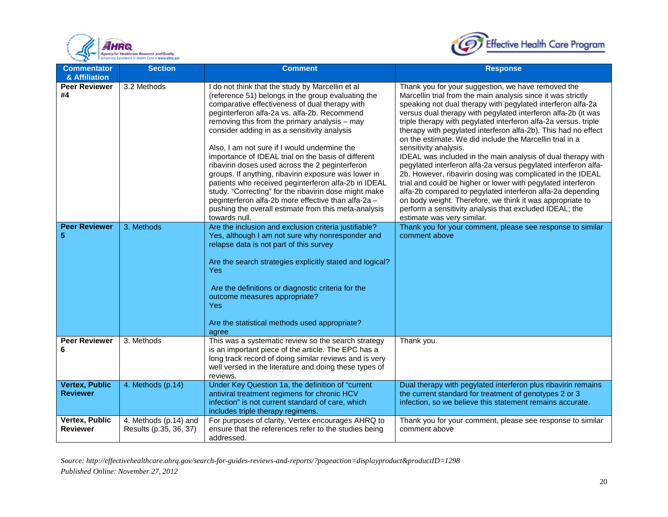



| <b>Commentator</b>                                                       | <b>Section</b>                                  | <b>Comment</b>                                                                                                                                                                                                                                                                                                                                                                                                                                                                                                                                                                                                                                                                                                                                                                                                                                                                                                                                                                                                                                                                                                    | <b>Response</b>                                                                                                                                                                                                                                                                                                                                                                                                                                                                                                                                                                                                                                                                                                                                                                                                                                                                                                                                                                                                                                 |
|--------------------------------------------------------------------------|-------------------------------------------------|-------------------------------------------------------------------------------------------------------------------------------------------------------------------------------------------------------------------------------------------------------------------------------------------------------------------------------------------------------------------------------------------------------------------------------------------------------------------------------------------------------------------------------------------------------------------------------------------------------------------------------------------------------------------------------------------------------------------------------------------------------------------------------------------------------------------------------------------------------------------------------------------------------------------------------------------------------------------------------------------------------------------------------------------------------------------------------------------------------------------|-------------------------------------------------------------------------------------------------------------------------------------------------------------------------------------------------------------------------------------------------------------------------------------------------------------------------------------------------------------------------------------------------------------------------------------------------------------------------------------------------------------------------------------------------------------------------------------------------------------------------------------------------------------------------------------------------------------------------------------------------------------------------------------------------------------------------------------------------------------------------------------------------------------------------------------------------------------------------------------------------------------------------------------------------|
| & Affiliation<br><b>Peer Reviewer</b><br>#4<br><b>Peer Reviewer</b><br>5 | 3.2 Methods<br>3. Methods                       | do not think that the study by Marcellin et al<br>(reference 51) belongs in the group evaluating the<br>comparative effectiveness of dual therapy with<br>peginterferon alfa-2a vs. alfa-2b. Recommend<br>removing this from the primary analysis - may<br>consider adding in as a sensitivity analysis<br>Also, I am not sure if I would undermine the<br>importance of IDEAL trial on the basis of different<br>ribavirin doses used across the 2 peginterferon<br>groups. If anything, ribavirin exposure was lower in<br>patients who received peginterferon alfa-2b in IDEAL<br>study. "Correcting" for the ribavirin dose might make<br>peginterferon alfa-2b more effective than alfa-2a -<br>pushing the overall estimate from this meta-analysis<br>towards null.<br>Are the inclusion and exclusion criteria justifiable?<br>Yes, although I am not sure why nonresponder and<br>relapse data is not part of this survey<br>Are the search strategies explicitly stated and logical?<br><b>Yes</b><br>Are the definitions or diagnostic criteria for the<br>outcome measures appropriate?<br><b>Yes</b> | Thank you for your suggestion, we have removed the<br>Marcellin trial from the main analysis since it was strictly<br>speaking not dual therapy with pegylated interferon alfa-2a<br>versus dual therapy with pegylated interferon alfa-2b (it was<br>triple therapy with pegylated interferon alfa-2a versus. triple<br>therapy with pegylated interferon alfa-2b). This had no effect<br>on the estimate. We did include the Marcellin trial in a<br>sensitivity analysis.<br>IDEAL was included in the main analysis of dual therapy with<br>pegylated interferon alfa-2a versus pegylated interferon alfa-<br>2b. However, ribavirin dosing was complicated in the IDEAL<br>trial and could be higher or lower with pegylated interferon<br>alfa-2b compared to pegylated interferon alfa-2a depending<br>on body weight. Therefore, we think it was appropriate to<br>perform a sensitivity analysis that excluded IDEAL; the<br>estimate was very similar.<br>Thank you for your comment, please see response to similar<br>comment above |
|                                                                          |                                                 | Are the statistical methods used appropriate?<br>agree                                                                                                                                                                                                                                                                                                                                                                                                                                                                                                                                                                                                                                                                                                                                                                                                                                                                                                                                                                                                                                                            |                                                                                                                                                                                                                                                                                                                                                                                                                                                                                                                                                                                                                                                                                                                                                                                                                                                                                                                                                                                                                                                 |
| <b>Peer Reviewer</b><br>6                                                | 3. Methods                                      | This was a systematic review so the search strategy<br>is an important piece of the article. The EPC has a<br>long track record of doing similar reviews and is very<br>well versed in the literature and doing these types of<br>reviews.                                                                                                                                                                                                                                                                                                                                                                                                                                                                                                                                                                                                                                                                                                                                                                                                                                                                        | Thank you.                                                                                                                                                                                                                                                                                                                                                                                                                                                                                                                                                                                                                                                                                                                                                                                                                                                                                                                                                                                                                                      |
| <b>Vertex, Public</b><br><b>Reviewer</b>                                 | 4. Methods (p.14)                               | Under Key Question 1a, the definition of "current<br>antiviral treatment regimens for chronic HCV<br>infection" is not current standard of care, which<br>includes triple therapy regimens.                                                                                                                                                                                                                                                                                                                                                                                                                                                                                                                                                                                                                                                                                                                                                                                                                                                                                                                       | Dual therapy with pegylated interferon plus ribavirin remains<br>the current standard for treatment of genotypes 2 or 3<br>infection, so we believe this statement remains accurate.                                                                                                                                                                                                                                                                                                                                                                                                                                                                                                                                                                                                                                                                                                                                                                                                                                                            |
| Vertex, Public<br><b>Reviewer</b>                                        | 4. Methods (p.14) and<br>Results (p.35, 36, 37) | For purposes of clarity, Vertex encourages AHRQ to<br>ensure that the references refer to the studies being<br>addressed.                                                                                                                                                                                                                                                                                                                                                                                                                                                                                                                                                                                                                                                                                                                                                                                                                                                                                                                                                                                         | Thank you for your comment, please see response to similar<br>comment above                                                                                                                                                                                                                                                                                                                                                                                                                                                                                                                                                                                                                                                                                                                                                                                                                                                                                                                                                                     |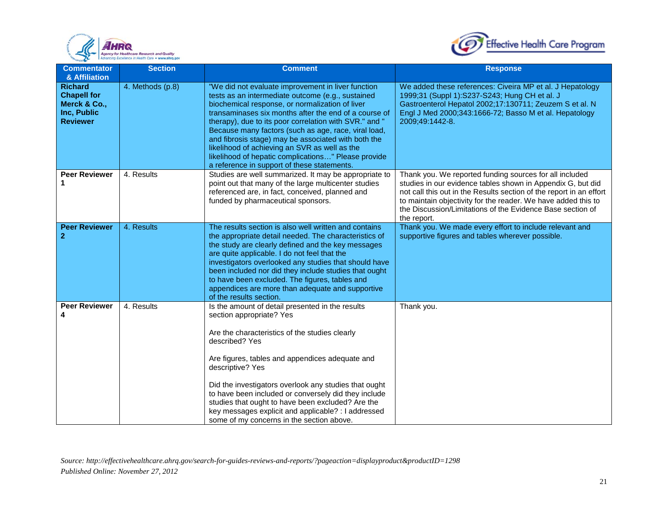



| <b>Commentator</b><br>& Affiliation                                                    | <b>Section</b>   | <b>Comment</b>                                                                                                                                                                                                                                                                                                                                                                                                                                                                                                                                      | <b>Response</b>                                                                                                                                                                                                                                                                                                                             |
|----------------------------------------------------------------------------------------|------------------|-----------------------------------------------------------------------------------------------------------------------------------------------------------------------------------------------------------------------------------------------------------------------------------------------------------------------------------------------------------------------------------------------------------------------------------------------------------------------------------------------------------------------------------------------------|---------------------------------------------------------------------------------------------------------------------------------------------------------------------------------------------------------------------------------------------------------------------------------------------------------------------------------------------|
| <b>Richard</b><br><b>Chapell for</b><br>Merck & Co.,<br>Inc, Public<br><b>Reviewer</b> | 4. Methods (p.8) | "We did not evaluate improvement in liver function<br>tests as an intermediate outcome (e.g., sustained<br>biochemical response, or normalization of liver<br>transaminases six months after the end of a course of<br>therapy), due to its poor correlation with SVR." and "<br>Because many factors (such as age, race, viral load,<br>and fibrosis stage) may be associated with both the<br>likelihood of achieving an SVR as well as the<br>likelihood of hepatic complications" Please provide<br>a reference in support of these statements. | We added these references: Civeira MP et al. J Hepatology<br>1999;31 (Suppl 1):S237-S243; Hung CH et al. J<br>Gastroenterol Hepatol 2002;17:130711; Zeuzem S et al. N<br>Engl J Med 2000;343:1666-72; Basso M et al. Hepatology<br>2009;49:1442-8.                                                                                          |
| <b>Peer Reviewer</b><br>1                                                              | 4. Results       | Studies are well summarized. It may be appropriate to<br>point out that many of the large multicenter studies<br>referenced are, in fact, conceived, planned and<br>funded by pharmaceutical sponsors.                                                                                                                                                                                                                                                                                                                                              | Thank you. We reported funding sources for all included<br>studies in our evidence tables shown in Appendix G, but did<br>not call this out in the Results section of the report in an effort<br>to maintain objectivity for the reader. We have added this to<br>the Discussion/Limitations of the Evidence Base section of<br>the report. |
| <b>Peer Reviewer</b><br>$\mathbf{2}$                                                   | 4. Results       | The results section is also well written and contains<br>the appropriate detail needed. The characteristics of<br>the study are clearly defined and the key messages<br>are quite applicable. I do not feel that the<br>investigators overlooked any studies that should have<br>been included nor did they include studies that ought<br>to have been excluded. The figures, tables and<br>appendices are more than adequate and supportive<br>of the results section.                                                                             | Thank you. We made every effort to include relevant and<br>supportive figures and tables wherever possible.                                                                                                                                                                                                                                 |
| <b>Peer Reviewer</b><br>4                                                              | 4. Results       | Is the amount of detail presented in the results<br>section appropriate? Yes<br>Are the characteristics of the studies clearly<br>described? Yes<br>Are figures, tables and appendices adequate and<br>descriptive? Yes<br>Did the investigators overlook any studies that ought<br>to have been included or conversely did they include<br>studies that ought to have been excluded? Are the<br>key messages explicit and applicable? : I addressed<br>some of my concerns in the section above.                                                   | Thank you.                                                                                                                                                                                                                                                                                                                                  |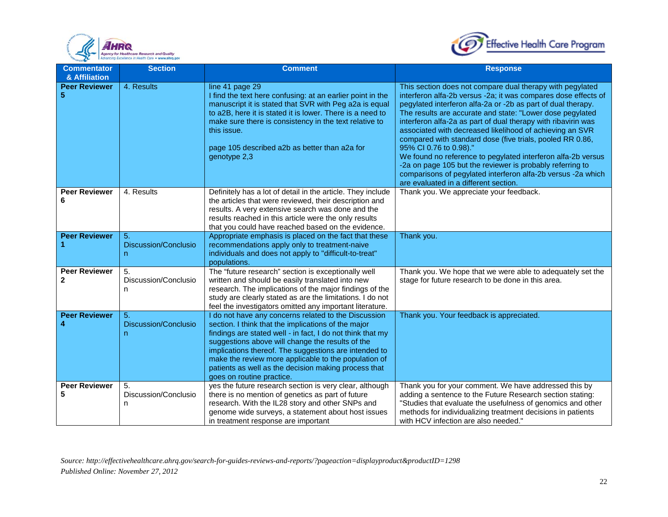



| <b>Commentator</b><br>& Affiliation | <b>Section</b>                  | <b>Comment</b>                                                                                                                                                                                                                                                                                                                                                                                                                      | <b>Response</b>                                                                                                                                                                                                                                                                                                                                                                                                                                                                                                                                                                                                                                                                                                    |
|-------------------------------------|---------------------------------|-------------------------------------------------------------------------------------------------------------------------------------------------------------------------------------------------------------------------------------------------------------------------------------------------------------------------------------------------------------------------------------------------------------------------------------|--------------------------------------------------------------------------------------------------------------------------------------------------------------------------------------------------------------------------------------------------------------------------------------------------------------------------------------------------------------------------------------------------------------------------------------------------------------------------------------------------------------------------------------------------------------------------------------------------------------------------------------------------------------------------------------------------------------------|
| <b>Peer Reviewer</b><br>5           | 4. Results                      | line 41 page 29<br>I find the text here confusing: at an earlier point in the<br>manuscript it is stated that SVR with Peg a2a is equal<br>to a2B, here it is stated it is lower. There is a need to<br>make sure there is consistency in the text relative to<br>this issue.<br>page 105 described a2b as better than a2a for<br>genotype 2,3                                                                                      | This section does not compare dual therapy with pegylated<br>interferon alfa-2b versus -2a; it was compares dose effects of<br>pegylated interferon alfa-2a or -2b as part of dual therapy.<br>The results are accurate and state: "Lower dose pegylated<br>interferon alfa-2a as part of dual therapy with ribavirin was<br>associated with decreased likelihood of achieving an SVR<br>compared with standard dose (five trials, pooled RR 0.86,<br>95% CI 0.76 to 0.98)."<br>We found no reference to pegylated interferon alfa-2b versus<br>-2a on page 105 but the reviewer is probably referring to<br>comparisons of pegylated interferon alfa-2b versus -2a which<br>are evaluated in a different section. |
| <b>Peer Reviewer</b><br>6           | 4. Results                      | Definitely has a lot of detail in the article. They include<br>the articles that were reviewed, their description and<br>results. A very extensive search was done and the<br>results reached in this article were the only results<br>that you could have reached based on the evidence.                                                                                                                                           | Thank you. We appreciate your feedback.                                                                                                                                                                                                                                                                                                                                                                                                                                                                                                                                                                                                                                                                            |
| <b>Peer Reviewer</b><br>1           | 5.<br>Discussion/Conclusio<br>n | Appropriate emphasis is placed on the fact that these<br>recommendations apply only to treatment-naive<br>individuals and does not apply to "difficult-to-treat"<br>populations.                                                                                                                                                                                                                                                    | Thank you.                                                                                                                                                                                                                                                                                                                                                                                                                                                                                                                                                                                                                                                                                                         |
| <b>Peer Reviewer</b><br>2           | 5.<br>Discussion/Conclusio<br>n | The "future research" section is exceptionally well<br>written and should be easily translated into new<br>research. The implications of the major findings of the<br>study are clearly stated as are the limitations. I do not<br>feel the investigators omitted any important literature.                                                                                                                                         | Thank you. We hope that we were able to adequately set the<br>stage for future research to be done in this area.                                                                                                                                                                                                                                                                                                                                                                                                                                                                                                                                                                                                   |
| <b>Peer Reviewer</b><br>4           | 5.<br>Discussion/Conclusio<br>n | I do not have any concerns related to the Discussion<br>section. I think that the implications of the major<br>findings are stated well - in fact, I do not think that my<br>suggestions above will change the results of the<br>implications thereof. The suggestions are intended to<br>make the review more applicable to the population of<br>patients as well as the decision making process that<br>goes on routine practice. | Thank you. Your feedback is appreciated.                                                                                                                                                                                                                                                                                                                                                                                                                                                                                                                                                                                                                                                                           |
| <b>Peer Reviewer</b>                | 5.<br>Discussion/Conclusio<br>n | yes the future research section is very clear, although<br>there is no mention of genetics as part of future<br>research. With the IL28 story and other SNPs and<br>genome wide surveys, a statement about host issues<br>in treatment response are important                                                                                                                                                                       | Thank you for your comment. We have addressed this by<br>adding a sentence to the Future Research section stating:<br>"Studies that evaluate the usefulness of genomics and other<br>methods for individualizing treatment decisions in patients<br>with HCV infection are also needed."                                                                                                                                                                                                                                                                                                                                                                                                                           |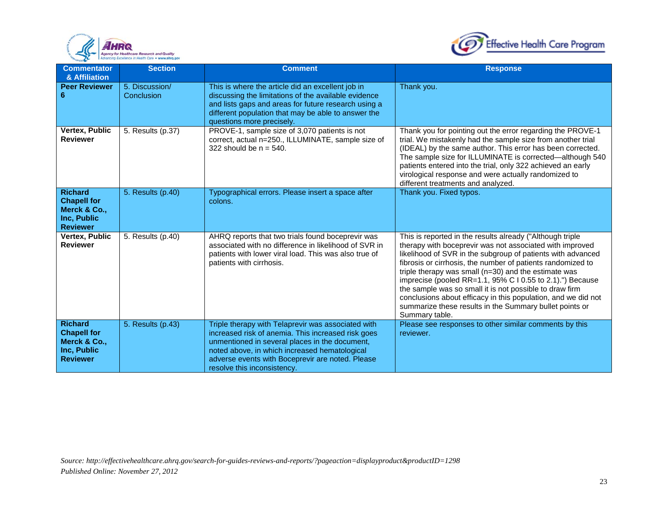



| <b>Commentator</b><br>& Affiliation                                                    | <b>Section</b>               | <b>Comment</b>                                                                                                                                                                                                                                                                                 | <b>Response</b>                                                                                                                                                                                                                                                                                                                                                                                                                                                                                                                                                                       |
|----------------------------------------------------------------------------------------|------------------------------|------------------------------------------------------------------------------------------------------------------------------------------------------------------------------------------------------------------------------------------------------------------------------------------------|---------------------------------------------------------------------------------------------------------------------------------------------------------------------------------------------------------------------------------------------------------------------------------------------------------------------------------------------------------------------------------------------------------------------------------------------------------------------------------------------------------------------------------------------------------------------------------------|
| <b>Peer Reviewer</b><br>6                                                              | 5. Discussion/<br>Conclusion | This is where the article did an excellent job in<br>discussing the limitations of the available evidence<br>and lists gaps and areas for future research using a<br>different population that may be able to answer the<br>questions more precisely.                                          | Thank you.                                                                                                                                                                                                                                                                                                                                                                                                                                                                                                                                                                            |
| Vertex, Public<br><b>Reviewer</b>                                                      | 5. Results (p.37)            | PROVE-1, sample size of 3,070 patients is not<br>correct, actual n=250., ILLUMINATE, sample size of<br>322 should be $n = 540$ .                                                                                                                                                               | Thank you for pointing out the error regarding the PROVE-1<br>trial. We mistakenly had the sample size from another trial<br>(IDEAL) by the same author. This error has been corrected.<br>The sample size for ILLUMINATE is corrected—although 540<br>patients entered into the trial, only 322 achieved an early<br>virological response and were actually randomized to<br>different treatments and analyzed.                                                                                                                                                                      |
| <b>Richard</b><br><b>Chapell for</b><br>Merck & Co.,<br>Inc, Public<br><b>Reviewer</b> | 5. Results (p.40)            | Typographical errors. Please insert a space after<br>colons.                                                                                                                                                                                                                                   | Thank you. Fixed typos.                                                                                                                                                                                                                                                                                                                                                                                                                                                                                                                                                               |
| Vertex, Public<br><b>Reviewer</b>                                                      | 5. Results (p.40)            | AHRQ reports that two trials found boceprevir was<br>associated with no difference in likelihood of SVR in<br>patients with lower viral load. This was also true of<br>patients with cirrhosis.                                                                                                | This is reported in the results already ("Although triple<br>therapy with boceprevir was not associated with improved<br>likelihood of SVR in the subgroup of patients with advanced<br>fibrosis or cirrhosis, the number of patients randomized to<br>triple therapy was small ( $n=30$ ) and the estimate was<br>imprecise (pooled RR=1.1, 95% C I 0.55 to 2.1).") Because<br>the sample was so small it is not possible to draw firm<br>conclusions about efficacy in this population, and we did not<br>summarize these results in the Summary bullet points or<br>Summary table. |
| <b>Richard</b><br><b>Chapell for</b><br>Merck & Co.,<br>Inc, Public<br><b>Reviewer</b> | 5. Results (p.43)            | Triple therapy with Telaprevir was associated with<br>increased risk of anemia. This increased risk goes<br>unmentioned in several places in the document,<br>noted above, in which increased hematological<br>adverse events with Boceprevir are noted. Please<br>resolve this inconsistency. | Please see responses to other similar comments by this<br>reviewer.                                                                                                                                                                                                                                                                                                                                                                                                                                                                                                                   |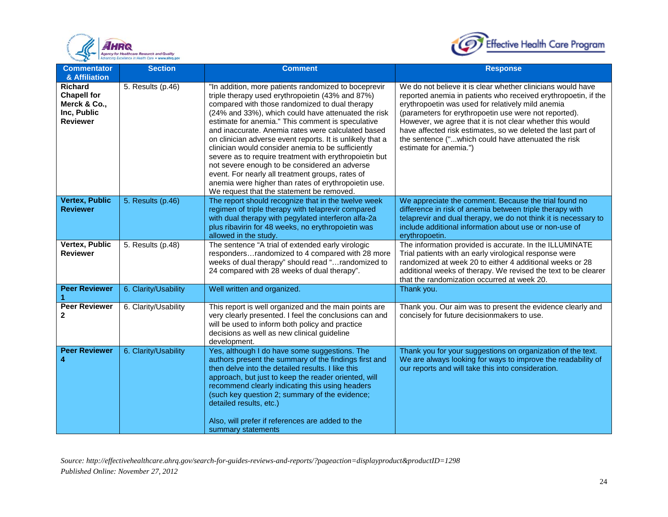



| <b>Commentator</b><br>& Affiliation                                                    | <b>Section</b>       | <b>Comment</b>                                                                                                                                                                                                                                                                                                                                                                                                                                                                                                                                                                                                                                                                                                      | <b>Response</b>                                                                                                                                                                                                                                                                                                                                                                                                                                           |
|----------------------------------------------------------------------------------------|----------------------|---------------------------------------------------------------------------------------------------------------------------------------------------------------------------------------------------------------------------------------------------------------------------------------------------------------------------------------------------------------------------------------------------------------------------------------------------------------------------------------------------------------------------------------------------------------------------------------------------------------------------------------------------------------------------------------------------------------------|-----------------------------------------------------------------------------------------------------------------------------------------------------------------------------------------------------------------------------------------------------------------------------------------------------------------------------------------------------------------------------------------------------------------------------------------------------------|
| <b>Richard</b><br><b>Chapell for</b><br>Merck & Co.,<br>Inc, Public<br><b>Reviewer</b> | 5. Results (p.46)    | "In addition, more patients randomized to boceprevir<br>triple therapy used erythropoietin (43% and 87%)<br>compared with those randomized to dual therapy<br>(24% and 33%), which could have attenuated the risk<br>estimate for anemia." This comment is speculative<br>and inaccurate. Anemia rates were calculated based<br>on clinician adverse event reports. It is unlikely that a<br>clinician would consider anemia to be sufficiently<br>severe as to require treatment with erythropoietin but<br>not severe enough to be considered an adverse<br>event. For nearly all treatment groups, rates of<br>anemia were higher than rates of erythropoietin use.<br>We request that the statement be removed. | We do not believe it is clear whether clinicians would have<br>reported anemia in patients who received erythropoetin, if the<br>erythropoetin was used for relatively mild anemia<br>(parameters for erythropoetin use were not reported).<br>However, we agree that it is not clear whether this would<br>have affected risk estimates, so we deleted the last part of<br>the sentence ("which could have attenuated the risk<br>estimate for anemia.") |
| <b>Vertex, Public</b><br><b>Reviewer</b>                                               | 5. Results (p.46)    | The report should recognize that in the twelve week<br>regimen of triple therapy with telaprevir compared<br>with dual therapy with pegylated interferon alfa-2a<br>plus ribavirin for 48 weeks, no erythropoietin was<br>allowed in the study.                                                                                                                                                                                                                                                                                                                                                                                                                                                                     | We appreciate the comment. Because the trial found no<br>difference in risk of anemia between triple therapy with<br>telaprevir and dual therapy, we do not think it is necessary to<br>include additional information about use or non-use of<br>erythropoetin.                                                                                                                                                                                          |
| Vertex, Public<br><b>Reviewer</b>                                                      | 5. Results (p.48)    | The sentence "A trial of extended early virologic<br>respondersrandomized to 4 compared with 28 more<br>weeks of dual therapy" should read "randomized to<br>24 compared with 28 weeks of dual therapy".                                                                                                                                                                                                                                                                                                                                                                                                                                                                                                            | The information provided is accurate. In the ILLUMINATE<br>Trial patients with an early virological response were<br>randomized at week 20 to either 4 additional weeks or 28<br>additional weeks of therapy. We revised the text to be clearer<br>that the randomization occurred at week 20.                                                                                                                                                            |
| <b>Peer Reviewer</b>                                                                   | 6. Clarity/Usability | Well written and organized.                                                                                                                                                                                                                                                                                                                                                                                                                                                                                                                                                                                                                                                                                         | Thank you.                                                                                                                                                                                                                                                                                                                                                                                                                                                |
| <b>Peer Reviewer</b><br>$\mathbf{2}$                                                   | 6. Clarity/Usability | This report is well organized and the main points are<br>very clearly presented. I feel the conclusions can and<br>will be used to inform both policy and practice<br>decisions as well as new clinical guideline<br>development.                                                                                                                                                                                                                                                                                                                                                                                                                                                                                   | Thank you. Our aim was to present the evidence clearly and<br>concisely for future decisionmakers to use.                                                                                                                                                                                                                                                                                                                                                 |
| <b>Peer Reviewer</b><br>4                                                              | 6. Clarity/Usability | Yes, although I do have some suggestions. The<br>authors present the summary of the findings first and<br>then delve into the detailed results. I like this<br>approach, but just to keep the reader oriented, will<br>recommend clearly indicating this using headers<br>(such key question 2; summary of the evidence;<br>detailed results, etc.)<br>Also, will prefer if references are added to the<br>summary statements                                                                                                                                                                                                                                                                                       | Thank you for your suggestions on organization of the text.<br>We are always looking for ways to improve the readability of<br>our reports and will take this into consideration.                                                                                                                                                                                                                                                                         |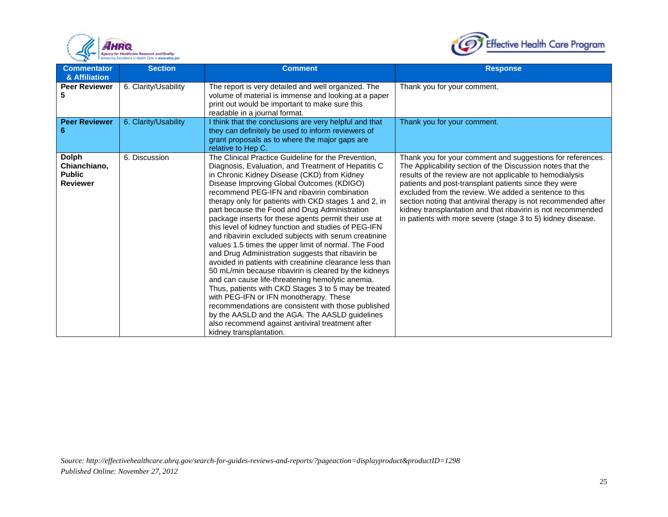



| <b>Commentator</b><br>& Affiliation                              | <b>Section</b>       | <b>Comment</b>                                                                                                                                                                                                                                                                                                                                                                                                                                                                                                                                                                                                                                                                                                                                                                                                                                                                                                                                                                                                                                                                                                           | <b>Response</b>                                                                                                                                                                                                                                                                                                                                                                                                                                                                                         |
|------------------------------------------------------------------|----------------------|--------------------------------------------------------------------------------------------------------------------------------------------------------------------------------------------------------------------------------------------------------------------------------------------------------------------------------------------------------------------------------------------------------------------------------------------------------------------------------------------------------------------------------------------------------------------------------------------------------------------------------------------------------------------------------------------------------------------------------------------------------------------------------------------------------------------------------------------------------------------------------------------------------------------------------------------------------------------------------------------------------------------------------------------------------------------------------------------------------------------------|---------------------------------------------------------------------------------------------------------------------------------------------------------------------------------------------------------------------------------------------------------------------------------------------------------------------------------------------------------------------------------------------------------------------------------------------------------------------------------------------------------|
| <b>Peer Reviewer</b><br>5                                        | 6. Clarity/Usability | The report is very detailed and well organized. The<br>volume of material is immense and looking at a paper<br>print out would be important to make sure this<br>readable in a journal format.                                                                                                                                                                                                                                                                                                                                                                                                                                                                                                                                                                                                                                                                                                                                                                                                                                                                                                                           | Thank you for your comment.                                                                                                                                                                                                                                                                                                                                                                                                                                                                             |
| <b>Peer Reviewer</b><br>6                                        | 6. Clarity/Usability | I think that the conclusions are very helpful and that<br>they can definitely be used to inform reviewers of<br>grant proposals as to where the major gaps are<br>relative to Hep C.                                                                                                                                                                                                                                                                                                                                                                                                                                                                                                                                                                                                                                                                                                                                                                                                                                                                                                                                     | Thank you for your comment.                                                                                                                                                                                                                                                                                                                                                                                                                                                                             |
| <b>Dolph</b><br>Chianchiano,<br><b>Public</b><br><b>Reviewer</b> | 6. Discussion        | The Clinical Practice Guideline for the Prevention,<br>Diagnosis, Evaluation, and Treatment of Hepatitis C<br>in Chronic Kidney Disease (CKD) from Kidney<br>Disease Improving Global Outcomes (KDIGO)<br>recommend PEG-IFN and ribavirin combination<br>therapy only for patients with CKD stages 1 and 2, in<br>part because the Food and Drug Administration<br>package inserts for these agents permit their use at<br>this level of kidney function and studies of PEG-IFN<br>and ribavirin excluded subjects with serum creatinine<br>values 1.5 times the upper limit of normal. The Food<br>and Drug Administration suggests that ribavirin be<br>avoided in patients with creatinine clearance less than<br>50 mL/min because ribavirin is cleared by the kidneys<br>and can cause life-threatening hemolytic anemia.<br>Thus, patients with CKD Stages 3 to 5 may be treated<br>with PEG-IFN or IFN monotherapy. These<br>recommendations are consistent with those published<br>by the AASLD and the AGA. The AASLD guidelines<br>also recommend against antiviral treatment after<br>kidney transplantation. | Thank you for your comment and suggestions for references.<br>The Applicability section of the Discussion notes that the<br>results of the review are not applicable to hemodialysis<br>patients and post-transplant patients since they were<br>excluded from the review. We added a sentence to this<br>section noting that antiviral therapy is not recommended after<br>kidney transplantation and that ribavirin is not recommended<br>in patients with more severe (stage 3 to 5) kidney disease. |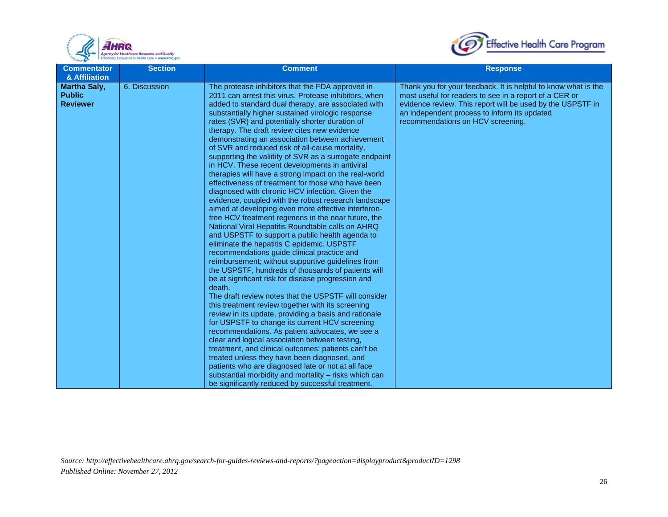



| <b>Commentator</b>                                                       | <b>Section</b> | <b>Comment</b>                                                                                                                                                                                                                                                                                                                                                                                                                                                                                                                                                                                                                                                                                                                                                                                                                                                                                                                                                                                                                                                                                                                                                                                                                                                                                                                                                                                                                                                                                                                                                                                   | <b>Response</b>                                                                                                                                                                                                                                                             |
|--------------------------------------------------------------------------|----------------|--------------------------------------------------------------------------------------------------------------------------------------------------------------------------------------------------------------------------------------------------------------------------------------------------------------------------------------------------------------------------------------------------------------------------------------------------------------------------------------------------------------------------------------------------------------------------------------------------------------------------------------------------------------------------------------------------------------------------------------------------------------------------------------------------------------------------------------------------------------------------------------------------------------------------------------------------------------------------------------------------------------------------------------------------------------------------------------------------------------------------------------------------------------------------------------------------------------------------------------------------------------------------------------------------------------------------------------------------------------------------------------------------------------------------------------------------------------------------------------------------------------------------------------------------------------------------------------------------|-----------------------------------------------------------------------------------------------------------------------------------------------------------------------------------------------------------------------------------------------------------------------------|
| & Affiliation<br><b>Martha Saly,</b><br><b>Public</b><br><b>Reviewer</b> | 6. Discussion  | The protease inhibitors that the FDA approved in<br>2011 can arrest this virus. Protease inhibitors, when<br>added to standard dual therapy, are associated with<br>substantially higher sustained virologic response<br>rates (SVR) and potentially shorter duration of<br>therapy. The draft review cites new evidence<br>demonstrating an association between achievement<br>of SVR and reduced risk of all-cause mortality,<br>supporting the validity of SVR as a surrogate endpoint<br>in HCV. These recent developments in antiviral<br>therapies will have a strong impact on the real-world<br>effectiveness of treatment for those who have been<br>diagnosed with chronic HCV infection. Given the<br>evidence, coupled with the robust research landscape<br>aimed at developing even more effective interferon-<br>free HCV treatment regimens in the near future, the<br>National Viral Hepatitis Roundtable calls on AHRQ<br>and USPSTF to support a public health agenda to<br>eliminate the hepatitis C epidemic. USPSTF<br>recommendations guide clinical practice and<br>reimbursement; without supportive guidelines from<br>the USPSTF, hundreds of thousands of patients will<br>be at significant risk for disease progression and<br>death.<br>The draft review notes that the USPSTF will consider<br>this treatment review together with its screening<br>review in its update, providing a basis and rationale<br>for USPSTF to change its current HCV screening<br>recommendations. As patient advocates, we see a<br>clear and logical association between testing, | Thank you for your feedback. It is helpful to know what is the<br>most useful for readers to see in a report of a CER or<br>evidence review. This report will be used by the USPSTF in<br>an independent process to inform its updated<br>recommendations on HCV screening. |
|                                                                          |                | treatment, and clinical outcomes: patients can't be<br>treated unless they have been diagnosed, and<br>patients who are diagnosed late or not at all face<br>substantial morbidity and mortality - risks which can                                                                                                                                                                                                                                                                                                                                                                                                                                                                                                                                                                                                                                                                                                                                                                                                                                                                                                                                                                                                                                                                                                                                                                                                                                                                                                                                                                               |                                                                                                                                                                                                                                                                             |
|                                                                          |                | be significantly reduced by successful treatment.                                                                                                                                                                                                                                                                                                                                                                                                                                                                                                                                                                                                                                                                                                                                                                                                                                                                                                                                                                                                                                                                                                                                                                                                                                                                                                                                                                                                                                                                                                                                                |                                                                                                                                                                                                                                                                             |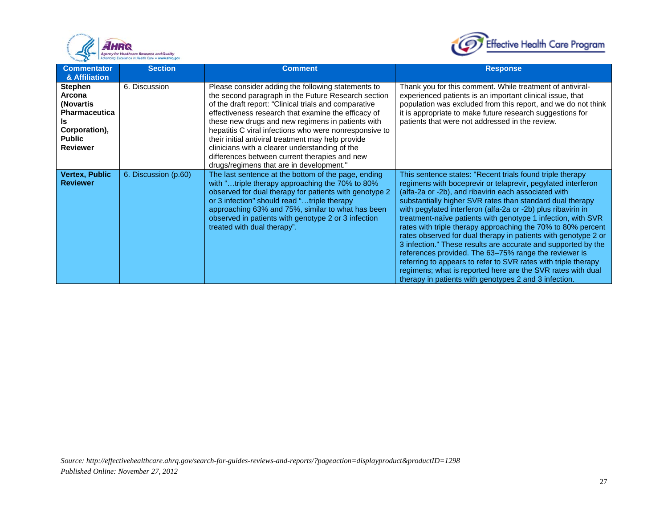



| <b>Commentator</b><br>& Affiliation                                                                                      | <b>Section</b>       | <b>Comment</b>                                                                                                                                                                                                                                                                                                                                                                                                                                                                                                                                | <b>Response</b>                                                                                                                                                                                                                                                                                                                                                                                                                                                                                                                                                                                                                                                                                                                                                                                                                      |
|--------------------------------------------------------------------------------------------------------------------------|----------------------|-----------------------------------------------------------------------------------------------------------------------------------------------------------------------------------------------------------------------------------------------------------------------------------------------------------------------------------------------------------------------------------------------------------------------------------------------------------------------------------------------------------------------------------------------|--------------------------------------------------------------------------------------------------------------------------------------------------------------------------------------------------------------------------------------------------------------------------------------------------------------------------------------------------------------------------------------------------------------------------------------------------------------------------------------------------------------------------------------------------------------------------------------------------------------------------------------------------------------------------------------------------------------------------------------------------------------------------------------------------------------------------------------|
| <b>Stephen</b><br>Arcona<br>(Novartis<br><b>Pharmaceutica</b><br>Is<br>Corporation),<br><b>Public</b><br><b>Reviewer</b> | 6. Discussion        | Please consider adding the following statements to<br>the second paragraph in the Future Research section<br>of the draft report: "Clinical trials and comparative<br>effectiveness research that examine the efficacy of<br>these new drugs and new regimens in patients with<br>hepatitis C viral infections who were nonresponsive to<br>their initial antiviral treatment may help provide<br>clinicians with a clearer understanding of the<br>differences between current therapies and new<br>drugs/regimens that are in development." | Thank you for this comment. While treatment of antiviral-<br>experienced patients is an important clinical issue, that<br>population was excluded from this report, and we do not think<br>it is appropriate to make future research suggestions for<br>patients that were not addressed in the review.                                                                                                                                                                                                                                                                                                                                                                                                                                                                                                                              |
| <b>Vertex, Public</b><br><b>Reviewer</b>                                                                                 | 6. Discussion (p.60) | The last sentence at the bottom of the page, ending<br>with "triple therapy approaching the 70% to 80%<br>observed for dual therapy for patients with genotype 2<br>or 3 infection" should read "triple therapy<br>approaching 63% and 75%, similar to what has been<br>observed in patients with genotype 2 or 3 infection<br>treated with dual therapy".                                                                                                                                                                                    | This sentence states: "Recent trials found triple therapy<br>regimens with boceprevir or telaprevir, pegylated interferon<br>(alfa-2a or -2b), and ribavirin each associated with<br>substantially higher SVR rates than standard dual therapy<br>with pegylated interferon (alfa-2a or -2b) plus ribavirin in<br>treatment-naïve patients with genotype 1 infection, with SVR<br>rates with triple therapy approaching the 70% to 80% percent<br>rates observed for dual therapy in patients with genotype 2 or<br>3 infection." These results are accurate and supported by the<br>references provided. The 63-75% range the reviewer is<br>referring to appears to refer to SVR rates with triple therapy<br>regimens; what is reported here are the SVR rates with dual<br>therapy in patients with genotypes 2 and 3 infection. |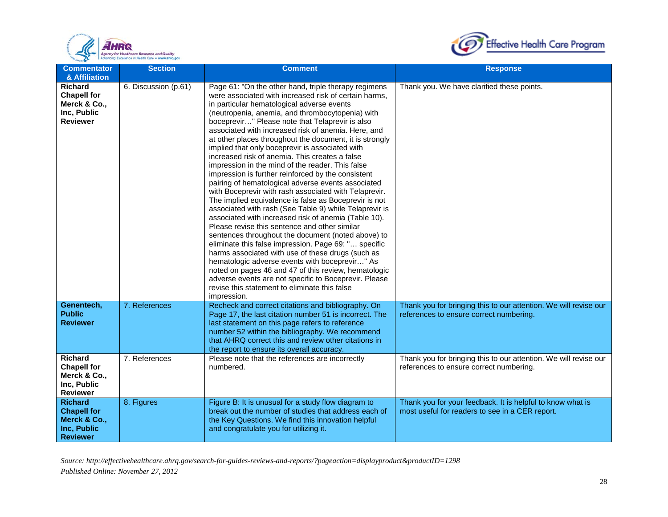



| <b>Commentator</b><br>& Affiliation                                                    | <b>Section</b>       | <b>Comment</b>                                                                                                                                                                                                                                                                                                                                                                                                                                                                                                                                                                                                                                                                                                                                                                                                                                                                                                                                                                                                                                                                                                                                                                                                                                                                                                                                       | <b>Response</b>                                                                                               |
|----------------------------------------------------------------------------------------|----------------------|------------------------------------------------------------------------------------------------------------------------------------------------------------------------------------------------------------------------------------------------------------------------------------------------------------------------------------------------------------------------------------------------------------------------------------------------------------------------------------------------------------------------------------------------------------------------------------------------------------------------------------------------------------------------------------------------------------------------------------------------------------------------------------------------------------------------------------------------------------------------------------------------------------------------------------------------------------------------------------------------------------------------------------------------------------------------------------------------------------------------------------------------------------------------------------------------------------------------------------------------------------------------------------------------------------------------------------------------------|---------------------------------------------------------------------------------------------------------------|
| <b>Richard</b><br><b>Chapell for</b><br>Merck & Co.,<br>Inc, Public<br><b>Reviewer</b> | 6. Discussion (p.61) | Page 61: "On the other hand, triple therapy regimens<br>were associated with increased risk of certain harms,<br>in particular hematological adverse events<br>(neutropenia, anemia, and thrombocytopenia) with<br>boceprevir" Please note that Telaprevir is also<br>associated with increased risk of anemia. Here, and<br>at other places throughout the document, it is strongly<br>implied that only boceprevir is associated with<br>increased risk of anemia. This creates a false<br>impression in the mind of the reader. This false<br>impression is further reinforced by the consistent<br>pairing of hematological adverse events associated<br>with Boceprevir with rash associated with Telaprevir.<br>The implied equivalence is false as Boceprevir is not<br>associated with rash (See Table 9) while Telaprevir is<br>associated with increased risk of anemia (Table 10).<br>Please revise this sentence and other similar<br>sentences throughout the document (noted above) to<br>eliminate this false impression. Page 69: " specific<br>harms associated with use of these drugs (such as<br>hematologic adverse events with boceprevir" As<br>noted on pages 46 and 47 of this review, hematologic<br>adverse events are not specific to Boceprevir. Please<br>revise this statement to eliminate this false<br>impression. | Thank you. We have clarified these points.                                                                    |
| Genentech,<br><b>Public</b><br><b>Reviewer</b>                                         | 7. References        | Recheck and correct citations and bibliography. On<br>Page 17, the last citation number 51 is incorrect. The<br>last statement on this page refers to reference<br>number 52 within the bibliography. We recommend<br>that AHRQ correct this and review other citations in<br>the report to ensure its overall accuracy.                                                                                                                                                                                                                                                                                                                                                                                                                                                                                                                                                                                                                                                                                                                                                                                                                                                                                                                                                                                                                             | Thank you for bringing this to our attention. We will revise our<br>references to ensure correct numbering.   |
| <b>Richard</b><br><b>Chapell for</b><br>Merck & Co.,<br>Inc, Public<br><b>Reviewer</b> | 7. References        | Please note that the references are incorrectly<br>numbered.                                                                                                                                                                                                                                                                                                                                                                                                                                                                                                                                                                                                                                                                                                                                                                                                                                                                                                                                                                                                                                                                                                                                                                                                                                                                                         | Thank you for bringing this to our attention. We will revise our<br>references to ensure correct numbering.   |
| <b>Richard</b><br><b>Chapell for</b><br>Merck & Co.,<br>Inc, Public<br><b>Reviewer</b> | 8. Figures           | Figure B: It is unusual for a study flow diagram to<br>break out the number of studies that address each of<br>the Key Questions. We find this innovation helpful<br>and congratulate you for utilizing it.                                                                                                                                                                                                                                                                                                                                                                                                                                                                                                                                                                                                                                                                                                                                                                                                                                                                                                                                                                                                                                                                                                                                          | Thank you for your feedback. It is helpful to know what is<br>most useful for readers to see in a CER report. |